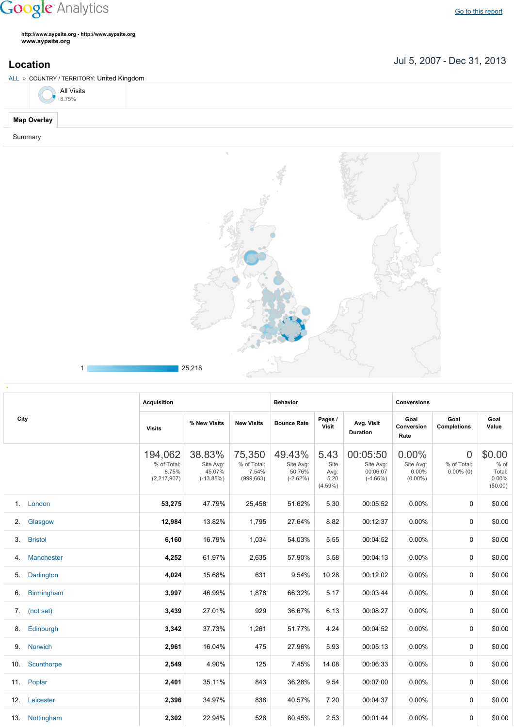## **Google** Analytics

Go to this [report](https://www.google.com/analytics/web/?utm_source=pdfReportLink#report/visitors-geo/a2184169w3912412p4016214/%3F_u.date00%3D20070705%26_u.date01%3D20131231%26geo-table.plotKeys%3D%5B%5D%26geo-table.rowCount%3D1000%26_r.drilldown%3Danalytics.country%3AGB%26geo-segmentExplorer.segmentId%3Danalytics.city/)

**http://www.aypsite.org http://www.aypsite.org www.aypsite.org**

ALL » COUNTRY / TERRITORY: United Kingdom



**Map Overlay**

Summary



| A | 25.219<br>$\sim$<br>___ |
|---|-------------------------|
|   |                         |

|             |                | <b>Acquisition</b>                             |                                              | <b>Behavior</b>                              |                                             |                                            | <b>Conversions</b>                              |                                           |                                               |                                                 |
|-------------|----------------|------------------------------------------------|----------------------------------------------|----------------------------------------------|---------------------------------------------|--------------------------------------------|-------------------------------------------------|-------------------------------------------|-----------------------------------------------|-------------------------------------------------|
| City        |                | <b>Visits</b>                                  | % New Visits                                 | <b>New Visits</b>                            | <b>Bounce Rate</b>                          | Pages /<br>Visit                           | Avg. Visit<br><b>Duration</b>                   | Goal<br>Conversion<br>Rate                | Goal<br><b>Completions</b>                    | Goal<br>Value                                   |
|             |                | 194,062<br>% of Total:<br>8.75%<br>(2,217,907) | 38.83%<br>Site Avg:<br>45.07%<br>$(-13.85%)$ | 75,350<br>% of Total:<br>7.54%<br>(999, 663) | 49.43%<br>Site Avg:<br>50.76%<br>$(-2.62%)$ | 5.43<br>Site<br>Avg:<br>5.20<br>$(4.59\%)$ | 00:05:50<br>Site Avg:<br>00:06:07<br>$(-4.66%)$ | 0.00%<br>Site Avg:<br>0.00%<br>$(0.00\%)$ | $\overline{0}$<br>% of Total:<br>$0.00\%$ (0) | \$0.00<br>$%$ of<br>Total:<br>0.00%<br>(\$0.00) |
| $1_{\cdot}$ | London         | 53,275                                         | 47.79%                                       | 25,458                                       | 51.62%                                      | 5.30                                       | 00:05:52                                        | $0.00\%$                                  | $\Omega$                                      | \$0.00                                          |
| 2.          | Glasgow        | 12,984                                         | 13.82%                                       | 1,795                                        | 27.64%                                      | 8.82                                       | 00:12:37                                        | $0.00\%$                                  | $\Omega$                                      | \$0.00                                          |
| 3.          | <b>Bristol</b> | 6,160                                          | 16.79%                                       | 1,034                                        | 54.03%                                      | 5.55                                       | 00:04:52                                        | 0.00%                                     | 0                                             | \$0.00                                          |
| 4.          | Manchester     | 4,252                                          | 61.97%                                       | 2,635                                        | 57.90%                                      | 3.58                                       | 00:04:13                                        | 0.00%                                     | 0                                             | \$0.00                                          |
| 5.          | Darlington     | 4,024                                          | 15.68%                                       | 631                                          | 9.54%                                       | 10.28                                      | 00:12:02                                        | 0.00%                                     | $\Omega$                                      | \$0.00                                          |
| 6.          | Birmingham     | 3,997                                          | 46.99%                                       | 1,878                                        | 66.32%                                      | 5.17                                       | 00:03:44                                        | $0.00\%$                                  | $\Omega$                                      | \$0.00                                          |
| 7.          | (not set)      | 3,439                                          | 27.01%                                       | 929                                          | 36.67%                                      | 6.13                                       | 00:08:27                                        | $0.00\%$                                  | $\Omega$                                      | \$0.00                                          |
| 8.          | Edinburgh      | 3,342                                          | 37.73%                                       | 1,261                                        | 51.77%                                      | 4.24                                       | 00:04:52                                        | 0.00%                                     | 0                                             | \$0.00                                          |
| 9.          | Norwich        | 2,961                                          | 16.04%                                       | 475                                          | 27.96%                                      | 5.93                                       | 00:05:13                                        | 0.00%                                     | 0                                             | \$0.00                                          |
| 10.         | Scunthorpe     | 2,549                                          | 4.90%                                        | 125                                          | 7.45%                                       | 14.08                                      | 00:06:33                                        | 0.00%                                     | $\Omega$                                      | \$0.00                                          |
| 11.         | Poplar         | 2,401                                          | 35.11%                                       | 843                                          | 36.28%                                      | 9.54                                       | 00:07:00                                        | $0.00\%$                                  | $\Omega$                                      | \$0.00                                          |
| 12.         | Leicester      | 2,396                                          | 34.97%                                       | 838                                          | 40.57%                                      | 7.20                                       | 00:04:37                                        | $0.00\%$                                  | $\Omega$                                      | \$0.00                                          |
| 13.         | Nottingham     | 2,302                                          | 22.94%                                       | 528                                          | 80.45%                                      | 2.53                                       | 00:01:44                                        | 0.00%                                     | 0                                             | \$0.00                                          |

Jul 5, 2007 Dec 31, 2013 **Location**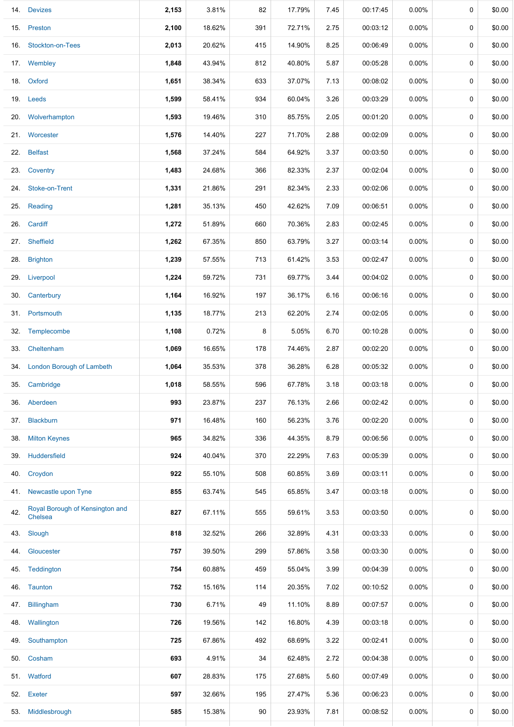|     | 14. Devizes                                | 2,153 | 3.81%  | 82  | 17.79% | 7.45 | 00:17:45 | 0.00%    | 0           | \$0.00 |
|-----|--------------------------------------------|-------|--------|-----|--------|------|----------|----------|-------------|--------|
|     | 15. Preston                                | 2,100 | 18.62% | 391 | 72.71% | 2.75 | 00:03:12 | $0.00\%$ | 0           | \$0.00 |
| 16. | Stockton-on-Tees                           | 2,013 | 20.62% | 415 | 14.90% | 8.25 | 00:06:49 | 0.00%    | 0           | \$0.00 |
|     | 17. Wembley                                | 1,848 | 43.94% | 812 | 40.80% | 5.87 | 00:05:28 | $0.00\%$ | 0           | \$0.00 |
|     | 18. Oxford                                 | 1,651 | 38.34% | 633 | 37.07% | 7.13 | 00:08:02 | 0.00%    | 0           | \$0.00 |
|     | 19. Leeds                                  | 1,599 | 58.41% | 934 | 60.04% | 3.26 | 00:03:29 | $0.00\%$ | 0           | \$0.00 |
|     | 20. Wolverhampton                          | 1,593 | 19.46% | 310 | 85.75% | 2.05 | 00:01:20 | 0.00%    | $\pmb{0}$   | \$0.00 |
|     | 21. Worcester                              | 1,576 | 14.40% | 227 | 71.70% | 2.88 | 00:02:09 | 0.00%    | 0           | \$0.00 |
|     | 22. Belfast                                | 1,568 | 37.24% | 584 | 64.92% | 3.37 | 00:03:50 | 0.00%    | 0           | \$0.00 |
|     | 23. Coventry                               | 1,483 | 24.68% | 366 | 82.33% | 2.37 | 00:02:04 | $0.00\%$ | 0           | \$0.00 |
|     | 24. Stoke-on-Trent                         | 1,331 | 21.86% | 291 | 82.34% | 2.33 | 00:02:06 | $0.00\%$ | 0           | \$0.00 |
| 25. | Reading                                    | 1,281 | 35.13% | 450 | 42.62% | 7.09 | 00:06:51 | 0.00%    | $\pmb{0}$   | \$0.00 |
|     | 26. Cardiff                                | 1,272 | 51.89% | 660 | 70.36% | 2.83 | 00:02:45 | $0.00\%$ | 0           | \$0.00 |
|     | 27. Sheffield                              | 1,262 | 67.35% | 850 | 63.79% | 3.27 | 00:03:14 | 0.00%    | $\pmb{0}$   | \$0.00 |
|     | 28. Brighton                               | 1,239 | 57.55% | 713 | 61.42% | 3.53 | 00:02:47 | $0.00\%$ | 0           | \$0.00 |
|     | 29. Liverpool                              | 1,224 | 59.72% | 731 | 69.77% | 3.44 | 00:04:02 | 0.00%    | $\mathbf 0$ | \$0.00 |
|     | 30. Canterbury                             | 1,164 | 16.92% | 197 | 36.17% | 6.16 | 00:06:16 | 0.00%    | 0           | \$0.00 |
|     | 31. Portsmouth                             | 1,135 | 18.77% | 213 | 62.20% | 2.74 | 00:02:05 | 0.00%    | 0           | \$0.00 |
|     | 32. Templecombe                            | 1,108 | 0.72%  | 8   | 5.05%  | 6.70 | 00:10:28 | $0.00\%$ | 0           | \$0.00 |
|     | 33. Cheltenham                             | 1,069 | 16.65% | 178 | 74.46% | 2.87 | 00:02:20 | $0.00\%$ | 0           | \$0.00 |
|     | 34. London Borough of Lambeth              | 1,064 | 35.53% | 378 | 36.28% | 6.28 | 00:05:32 | $0.00\%$ | 0           | \$0.00 |
|     | 35. Cambridge                              | 1,018 | 58.55% | 596 | 67.78% | 3.18 | 00:03:18 | $0.00\%$ | 0           | \$0.00 |
|     | 36. Aberdeen                               | 993   | 23.87% | 237 | 76.13% | 2.66 | 00:02:42 | $0.00\%$ | 0           | \$0.00 |
| 37. | Blackburn                                  | 971   | 16.48% | 160 | 56.23% | 3.76 | 00:02:20 | 0.00%    | 0           | \$0.00 |
| 38. | <b>Milton Keynes</b>                       | 965   | 34.82% | 336 | 44.35% | 8.79 | 00:06:56 | 0.00%    | 0           | \$0.00 |
| 39. | Huddersfield                               | 924   | 40.04% | 370 | 22.29% | 7.63 | 00:05:39 | 0.00%    | 0           | \$0.00 |
| 40. | Croydon                                    | 922   | 55.10% | 508 | 60.85% | 3.69 | 00:03:11 | 0.00%    | 0           | \$0.00 |
| 41. | Newcastle upon Tyne                        | 855   | 63.74% | 545 | 65.85% | 3.47 | 00:03:18 | 0.00%    | 0           | \$0.00 |
| 42. | Royal Borough of Kensington and<br>Chelsea | 827   | 67.11% | 555 | 59.61% | 3.53 | 00:03:50 | 0.00%    | 0           | \$0.00 |
| 43. | Slough                                     | 818   | 32.52% | 266 | 32.89% | 4.31 | 00:03:33 | 0.00%    | 0           | \$0.00 |
| 44. | Gloucester                                 | 757   | 39.50% | 299 | 57.86% | 3.58 | 00:03:30 | 0.00%    | 0           | \$0.00 |
|     | 45. Teddington                             | 754   | 60.88% | 459 | 55.04% | 3.99 | 00:04:39 | $0.00\%$ | 0           | \$0.00 |
|     | 46. Taunton                                | 752   | 15.16% | 114 | 20.35% | 7.02 | 00:10:52 | $0.00\%$ | 0           | \$0.00 |
| 47. | <b>Billingham</b>                          | 730   | 6.71%  | 49  | 11.10% | 8.89 | 00:07:57 | 0.00%    | 0           | \$0.00 |
|     | 48. Wallington                             | 726   | 19.56% | 142 | 16.80% | 4.39 | 00:03:18 | 0.00%    | 0           | \$0.00 |
| 49. | Southampton                                | 725   | 67.86% | 492 | 68.69% | 3.22 | 00:02:41 | 0.00%    | 0           | \$0.00 |
| 50. | Cosham                                     | 693   | 4.91%  | 34  | 62.48% | 2.72 | 00:04:38 | 0.00%    | 0           | \$0.00 |
|     | 51. Watford                                | 607   | 28.83% | 175 | 27.68% | 5.60 | 00:07:49 | 0.00%    | 0           | \$0.00 |
| 52. | Exeter                                     | 597   | 32.66% | 195 | 27.47% | 5.36 | 00:06:23 | 0.00%    | 0           | \$0.00 |
|     | 53. Middlesbrough                          | 585   | 15.38% | 90  | 23.93% | 7.81 | 00:08:52 | $0.00\%$ | 0           | \$0.00 |
|     |                                            |       |        |     |        |      |          |          |             |        |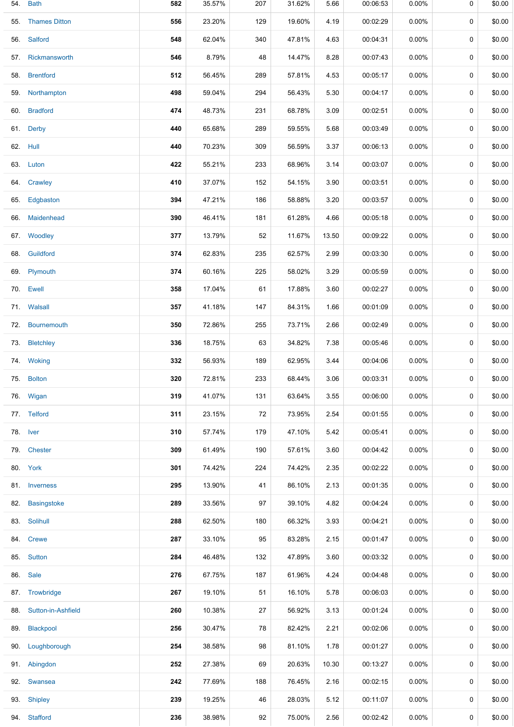|     | 54. Bath           | 582 | 35.57% | 207 | 31.62% | 5.66  | 00:06:53 | $0.00\%$ | 0           | \$0.00 |
|-----|--------------------|-----|--------|-----|--------|-------|----------|----------|-------------|--------|
|     | 55. Thames Ditton  | 556 | 23.20% | 129 | 19.60% | 4.19  | 00:02:29 | 0.00%    | 0           | \$0.00 |
|     | 56. Salford        | 548 | 62.04% | 340 | 47.81% | 4.63  | 00:04:31 | $0.00\%$ | 0           | \$0.00 |
|     | 57. Rickmansworth  | 546 | 8.79%  | 48  | 14.47% | 8.28  | 00:07:43 | $0.00\%$ | 0           | \$0.00 |
|     | 58. Brentford      | 512 | 56.45% | 289 | 57.81% | 4.53  | 00:05:17 | $0.00\%$ | 0           | \$0.00 |
|     | 59. Northampton    | 498 | 59.04% | 294 | 56.43% | 5.30  | 00:04:17 | $0.00\%$ | 0           | \$0.00 |
|     | 60. Bradford       | 474 | 48.73% | 231 | 68.78% | 3.09  | 00:02:51 | $0.00\%$ | 0           | \$0.00 |
|     | 61. Derby          | 440 | 65.68% | 289 | 59.55% | 5.68  | 00:03:49 | 0.00%    | 0           | \$0.00 |
|     | 62. Hull           | 440 | 70.23% | 309 | 56.59% | 3.37  | 00:06:13 | $0.00\%$ | 0           | \$0.00 |
|     | 63. Luton          | 422 | 55.21% | 233 | 68.96% | 3.14  | 00:03:07 | $0.00\%$ | $\mathbf 0$ | \$0.00 |
|     | 64. Crawley        | 410 | 37.07% | 152 | 54.15% | 3.90  | 00:03:51 | $0.00\%$ | 0           | \$0.00 |
|     | 65. Edgbaston      | 394 | 47.21% | 186 | 58.88% | 3.20  | 00:03:57 | 0.00%    | 0           | \$0.00 |
|     | 66. Maidenhead     | 390 | 46.41% | 181 | 61.28% | 4.66  | 00:05:18 | $0.00\%$ | 0           | \$0.00 |
|     | 67. Woodley        | 377 | 13.79% | 52  | 11.67% | 13.50 | 00:09:22 | $0.00\%$ | 0           | \$0.00 |
|     | 68. Guildford      | 374 | 62.83% | 235 | 62.57% | 2.99  | 00:03:30 | 0.00%    | 0           | \$0.00 |
|     | 69. Plymouth       | 374 | 60.16% | 225 | 58.02% | 3.29  | 00:05:59 | $0.00\%$ | 0           | \$0.00 |
|     | 70. Ewell          | 358 | 17.04% | 61  | 17.88% | 3.60  | 00:02:27 | $0.00\%$ | 0           | \$0.00 |
|     | 71. Walsall        | 357 | 41.18% | 147 | 84.31% | 1.66  | 00:01:09 | $0.00\%$ | 0           | \$0.00 |
|     | 72. Bournemouth    | 350 | 72.86% | 255 | 73.71% | 2.66  | 00:02:49 | 0.00%    | 0           | \$0.00 |
| 73. | <b>Bletchley</b>   | 336 | 18.75% | 63  | 34.82% | 7.38  | 00:05:46 | 0.00%    | 0           | \$0.00 |
|     | 74. Woking         | 332 | 56.93% | 189 | 62.95% | 3.44  | 00:04:06 | 0.00%    | 0           | \$0.00 |
|     | 75. Bolton         | 320 | 72.81% | 233 | 68.44% | 3.06  | 00:03:31 | $0.00\%$ | 0           | \$0.00 |
|     | 76. Wigan          | 319 | 41.07% | 131 | 63.64% | 3.55  | 00:06:00 | 0.00%    | 0           | \$0.00 |
|     | 77. Telford        | 311 | 23.15% | 72  | 73.95% | 2.54  | 00:01:55 | 0.00%    | 0           | \$0.00 |
|     | 78. Iver           | 310 | 57.74% | 179 | 47.10% | 5.42  | 00:05:41 | $0.00\%$ | 0           | \$0.00 |
|     | 79. Chester        | 309 | 61.49% | 190 | 57.61% | 3.60  | 00:04:42 | $0.00\%$ | 0           | \$0.00 |
|     | 80. York           | 301 | 74.42% | 224 | 74.42% | 2.35  | 00:02:22 | $0.00\%$ | 0           | \$0.00 |
|     | 81. Inverness      | 295 | 13.90% | 41  | 86.10% | 2.13  | 00:01:35 | 0.00%    | 0           | \$0.00 |
| 82. | <b>Basingstoke</b> | 289 | 33.56% | 97  | 39.10% | 4.82  | 00:04:24 | 0.00%    | 0           | \$0.00 |
|     | 83. Solihull       | 288 | 62.50% | 180 | 66.32% | 3.93  | 00:04:21 | 0.00%    | 0           | \$0.00 |
|     | 84. Crewe          | 287 | 33.10% | 95  | 83.28% | 2.15  | 00:01:47 | $0.00\%$ | 0           | \$0.00 |
|     | 85. Sutton         | 284 | 46.48% | 132 | 47.89% | 3.60  | 00:03:32 | $0.00\%$ | 0           | \$0.00 |
| 86. | Sale               | 276 | 67.75% | 187 | 61.96% | 4.24  | 00:04:48 | 0.00%    | 0           | \$0.00 |
|     | 87. Trowbridge     | 267 | 19.10% | 51  | 16.10% | 5.78  | 00:06:03 | $0.00\%$ | 0           | \$0.00 |
| 88. | Sutton-in-Ashfield | 260 | 10.38% | 27  | 56.92% | 3.13  | 00:01:24 | 0.00%    | 0           | \$0.00 |
| 89. | Blackpool          | 256 | 30.47% | 78  | 82.42% | 2.21  | 00:02:06 | 0.00%    | 0           | \$0.00 |
|     | 90. Loughborough   | 254 | 38.58% | 98  | 81.10% | 1.78  | 00:01:27 | 0.00%    | 0           | \$0.00 |
|     | 91. Abingdon       | 252 | 27.38% | 69  | 20.63% | 10.30 | 00:13:27 | $0.00\%$ | 0           | \$0.00 |
| 92. | Swansea            | 242 | 77.69% | 188 | 76.45% | 2.16  | 00:02:15 | $0.00\%$ | 0           | \$0.00 |
| 93. | <b>Shipley</b>     | 239 | 19.25% | 46  | 28.03% | 5.12  | 00:11:07 | $0.00\%$ | 0           | \$0.00 |
|     | 94. Stafford       | 236 | 38.98% | 92  | 75.00% | 2.56  | 00:02:42 | 0.00%    | 0           | \$0.00 |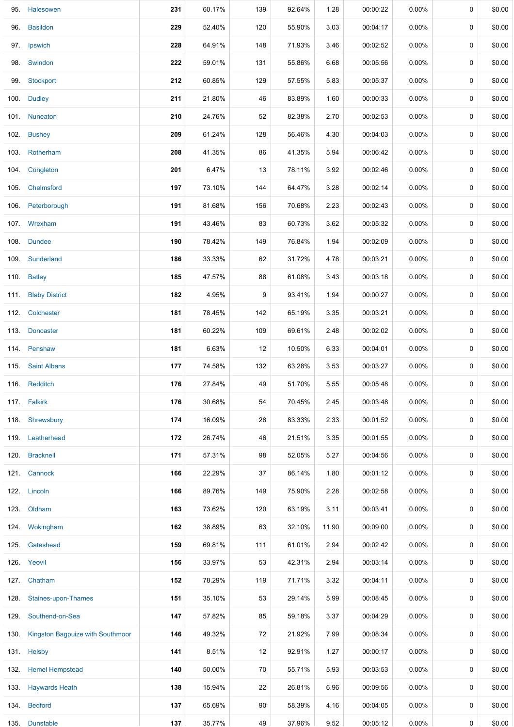|      | 95. Halesowen                         | 231 | 60.17% | 139 | 92.64% | 1.28  | 00:00:22 | $0.00\%$ | 0            | \$0.00 |
|------|---------------------------------------|-----|--------|-----|--------|-------|----------|----------|--------------|--------|
|      | 96. Basildon                          | 229 | 52.40% | 120 | 55.90% | 3.03  | 00:04:17 | $0.00\%$ | 0            | \$0.00 |
|      | 97. Ipswich                           | 228 | 64.91% | 148 | 71.93% | 3.46  | 00:02:52 | 0.00%    | 0            | \$0.00 |
|      | 98. Swindon                           | 222 | 59.01% | 131 | 55.86% | 6.68  | 00:05:56 | $0.00\%$ | 0            | \$0.00 |
|      | 99. Stockport                         | 212 | 60.85% | 129 | 57.55% | 5.83  | 00:05:37 | 0.00%    | 0            | \$0.00 |
|      | 100. Dudley                           | 211 | 21.80% | 46  | 83.89% | 1.60  | 00:00:33 | $0.00\%$ | 0            | \$0.00 |
|      | 101 Nuneaton                          | 210 | 24.76% | 52  | 82.38% | 2.70  | 00:02:53 | 0.00%    | 0            | \$0.00 |
|      | 102. Bushey                           | 209 | 61.24% | 128 | 56.46% | 4.30  | 00:04:03 | 0.00%    | 0            | \$0.00 |
|      | 103. Rotherham                        | 208 | 41.35% | 86  | 41.35% | 5.94  | 00:06:42 | $0.00\%$ | 0            | \$0.00 |
|      | 104. Congleton                        | 201 | 6.47%  | 13  | 78.11% | 3.92  | 00:02:46 | $0.00\%$ | 0            | \$0.00 |
|      | 105. Chelmsford                       | 197 | 73.10% | 144 | 64.47% | 3.28  | 00:02:14 | $0.00\%$ | 0            | \$0.00 |
|      | 106. Peterborough                     | 191 | 81.68% | 156 | 70.68% | 2.23  | 00:02:43 | 0.00%    | 0            | \$0.00 |
|      | 107. Wrexham                          | 191 | 43.46% | 83  | 60.73% | 3.62  | 00:05:32 | $0.00\%$ | 0            | \$0.00 |
|      | 108. Dundee                           | 190 | 78.42% | 149 | 76.84% | 1.94  | 00:02:09 | 0.00%    | 0            | \$0.00 |
|      | 109. Sunderland                       | 186 | 33.33% | 62  | 31.72% | 4.78  | 00:03:21 | 0.00%    | 0            | \$0.00 |
|      | 110. Batley                           | 185 | 47.57% | 88  | 61.08% | 3.43  | 00:03:18 | 0.00%    | 0            | \$0.00 |
|      | 111. Blaby District                   | 182 | 4.95%  | 9   | 93.41% | 1.94  | 00:00:27 | 0.00%    | 0            | \$0.00 |
|      | 112. Colchester                       | 181 | 78.45% | 142 | 65.19% | 3.35  | 00:03:21 | $0.00\%$ | 0            | \$0.00 |
|      | 113. Doncaster                        | 181 | 60.22% | 109 | 69.61% | 2.48  | 00:02:02 | $0.00\%$ | 0            | \$0.00 |
|      | 114. Penshaw                          | 181 | 6.63%  | 12  | 10.50% | 6.33  | 00:04:01 | $0.00\%$ | 0            | \$0.00 |
|      | 115 Saint Albans                      | 177 | 74.58% | 132 | 63.28% | 3.53  | 00:03:27 | 0.00%    | 0            | \$0.00 |
|      | 116. Redditch                         | 176 | 27.84% | 49  | 51.70% | 5.55  | 00:05:48 | $0.00\%$ | 0            | \$0.00 |
|      | 117. Falkirk                          | 176 | 30.68% | 54  | 70.45% | 2.45  | 00:03:48 | $0.00\%$ | 0            | \$0.00 |
|      | 118. Shrewsbury                       | 174 | 16.09% | 28  | 83.33% | 2.33  | 00:01:52 | 0.00%    | 0            | \$0.00 |
|      | 119. Leatherhead                      | 172 | 26.74% | 46  | 21.51% | 3.35  | 00:01:55 | 0.00%    | 0            | \$0.00 |
|      | 120. Bracknell                        | 171 | 57.31% | 98  | 52.05% | 5.27  | 00:04:56 | 0.00%    | 0            | \$0.00 |
|      | 121. Cannock                          | 166 | 22.29% | 37  | 86.14% | 1.80  | 00:01:12 | 0.00%    | 0            | \$0.00 |
|      | 122. Lincoln                          | 166 | 89.76% | 149 | 75.90% | 2.28  | 00:02:58 | 0.00%    | 0            | \$0.00 |
|      | 123. Oldham                           | 163 | 73.62% | 120 | 63.19% | 3.11  | 00:03:41 | $0.00\%$ | 0            | \$0.00 |
| 124. | Wokingham                             | 162 | 38.89% | 63  | 32.10% | 11.90 | 00:09:00 | $0.00\%$ | 0            | \$0.00 |
|      | 125. Gateshead                        | 159 | 69.81% | 111 | 61.01% | 2.94  | 00:02:42 | $0.00\%$ | 0            | \$0.00 |
|      | 126. Yeovil                           | 156 | 33.97% | 53  | 42.31% | 2.94  | 00:03:14 | 0.00%    | 0            | \$0.00 |
|      | 127. Chatham                          | 152 | 78.29% | 119 | 71.71% | 3.32  | 00:04:11 | 0.00%    | 0            | \$0.00 |
|      | 128. Staines-upon-Thames              | 151 | 35.10% | 53  | 29.14% | 5.99  | 00:08:45 | 0.00%    | 0            | \$0.00 |
|      | 129. Southend-on-Sea                  | 147 | 57.82% | 85  | 59.18% | 3.37  | 00:04:29 | $0.00\%$ | 0            | \$0.00 |
|      | 130. Kingston Bagpuize with Southmoor | 146 | 49.32% | 72  | 21.92% | 7.99  | 00:08:34 | 0.00%    | 0            | \$0.00 |
|      | 131. Helsby                           | 141 | 8.51%  | 12  | 92.91% | 1.27  | 00:00:17 | 0.00%    | 0            | \$0.00 |
|      | 132. Hemel Hempstead                  | 140 | 50.00% | 70  | 55.71% | 5.93  | 00:03:53 | $0.00\%$ | 0            | \$0.00 |
|      | 133. Haywards Heath                   | 138 | 15.94% | 22  | 26.81% | 6.96  | 00:09:56 | $0.00\%$ | 0            | \$0.00 |
|      | 134. Bedford                          | 137 | 65.69% | 90  | 58.39% | 4.16  | 00:04:05 | $0.00\%$ | 0            | \$0.00 |
|      | 135. Dunstable                        | 137 | 35.77% | 49  | 37.96% | 9.52  | 00:05:12 | $0.00\%$ | $\mathsf{O}$ | \$0.00 |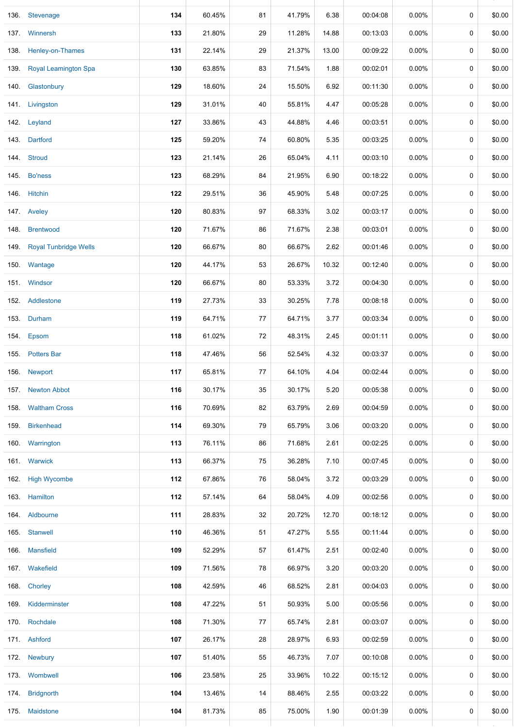|      | 136. Stevenage             | 134 | 60.45% | 81     | 41.79% | 6.38  | 00:04:08 | $0.00\%$ | 0           | \$0.00 |
|------|----------------------------|-----|--------|--------|--------|-------|----------|----------|-------------|--------|
|      | 137 Winnersh               | 133 | 21.80% | 29     | 11.28% | 14.88 | 00:13:03 | $0.00\%$ | 0           | \$0.00 |
|      | 138. Henley-on-Thames      | 131 | 22.14% | 29     | 21.37% | 13.00 | 00:09:22 | $0.00\%$ | 0           | \$0.00 |
|      | 139. Royal Leamington Spa  | 130 | 63.85% | 83     | 71.54% | 1.88  | 00:02:01 | $0.00\%$ | 0           | \$0.00 |
|      | 140. Glastonbury           | 129 | 18.60% | 24     | 15.50% | 6.92  | 00:11:30 | 0.00%    | 0           | \$0.00 |
|      | 141. Livingston            | 129 | 31.01% | 40     | 55.81% | 4.47  | 00:05:28 | $0.00\%$ | 0           | \$0.00 |
|      | 142. Leyland               | 127 | 33.86% | 43     | 44.88% | 4.46  | 00:03:51 | $0.00\%$ | $\pmb{0}$   | \$0.00 |
|      | 143. Dartford              | 125 | 59.20% | 74     | 60.80% | 5.35  | 00:03:25 | $0.00\%$ | 0           | \$0.00 |
|      | 144. Stroud                | 123 | 21.14% | 26     | 65.04% | 4.11  | 00:03:10 | $0.00\%$ | $\mathbf 0$ | \$0.00 |
|      | 145. Bo'ness               | 123 | 68.29% | 84     | 21.95% | 6.90  | 00:18:22 | $0.00\%$ | 0           | \$0.00 |
|      | 146. Hitchin               | 122 | 29.51% | 36     | 45.90% | 5.48  | 00:07:25 | $0.00\%$ | 0           | \$0.00 |
|      | 147. Aveley                | 120 | 80.83% | 97     | 68.33% | 3.02  | 00:03:17 | $0.00\%$ | 0           | \$0.00 |
|      | 148. Brentwood             | 120 | 71.67% | 86     | 71.67% | 2.38  | 00:03:01 | $0.00\%$ | 0           | \$0.00 |
|      | 149. Royal Tunbridge Wells | 120 | 66.67% | 80     | 66.67% | 2.62  | 00:01:46 | 0.00%    | $\pmb{0}$   | \$0.00 |
|      | 150. Wantage               | 120 | 44.17% | 53     | 26.67% | 10.32 | 00:12:40 | $0.00\%$ | 0           | \$0.00 |
|      | 151. Windsor               | 120 | 66.67% | 80     | 53.33% | 3.72  | 00:04:30 | $0.00\%$ | 0           | \$0.00 |
|      | 152. Addlestone            | 119 | 27.73% | 33     | 30.25% | 7.78  | 00:08:18 | $0.00\%$ | 0           | \$0.00 |
|      | 153. Durham                | 119 | 64.71% | 77     | 64.71% | 3.77  | 00:03:34 | $0.00\%$ | 0           | \$0.00 |
|      | 154. Epsom                 | 118 | 61.02% | 72     | 48.31% | 2.45  | 00:01:11 | $0.00\%$ | 0           | \$0.00 |
|      | 155. Potters Bar           | 118 | 47.46% | 56     | 52.54% | 4.32  | 00:03:37 | 0.00%    | 0           | \$0.00 |
|      | 156. Newport               | 117 | 65.81% | 77     | 64.10% | 4.04  | 00:02:44 | $0.00\%$ | 0           | \$0.00 |
|      | 157. Newton Abbot          | 116 | 30.17% | $35\,$ | 30.17% | 5.20  | 00:05:38 | $0.00\%$ | 0           | \$0.00 |
| 158. | <b>Waltham Cross</b>       | 116 | 70.69% | 82     | 63.79% | 2.69  | 00:04:59 | 0.00%    | $\mathbf 0$ | \$0.00 |
|      | 159. Birkenhead            | 114 | 69.30% | 79     | 65.79% | 3.06  | 00:03:20 | $0.00\%$ | 0           | \$0.00 |
|      | 160. Warrington            | 113 | 76.11% | 86     | 71.68% | 2.61  | 00:02:25 | $0.00\%$ | 0           | \$0.00 |
|      | 161. Warwick               | 113 | 66.37% | 75     | 36.28% | 7.10  | 00:07:45 | $0.00\%$ | 0           | \$0.00 |
|      | 162. High Wycombe          | 112 | 67.86% | 76     | 58.04% | 3.72  | 00:03:29 | $0.00\%$ | 0           | \$0.00 |
|      | 163. Hamilton              | 112 | 57.14% | 64     | 58.04% | 4.09  | 00:02:56 | $0.00\%$ | 0           | \$0.00 |
|      | 164. Aldbourne             | 111 | 28.83% | 32     | 20.72% | 12.70 | 00:18:12 | $0.00\%$ | 0           | \$0.00 |
|      | 165. Stanwell              | 110 | 46.36% | 51     | 47.27% | 5.55  | 00:11:44 | $0.00\%$ | 0           | \$0.00 |
|      | 166. Mansfield             | 109 | 52.29% | 57     | 61.47% | 2.51  | 00:02:40 | $0.00\%$ | 0           | \$0.00 |
|      | 167. Wakefield             | 109 | 71.56% | 78     | 66.97% | 3.20  | 00:03:20 | $0.00\%$ | 0           | \$0.00 |
|      | 168. Chorley               | 108 | 42.59% | 46     | 68.52% | 2.81  | 00:04:03 | $0.00\%$ | 0           | \$0.00 |
|      | 169. Kidderminster         | 108 | 47.22% | 51     | 50.93% | 5.00  | 00:05:56 | $0.00\%$ | 0           | \$0.00 |
|      | 170. Rochdale              | 108 | 71.30% | 77     | 65.74% | 2.81  | 00:03:07 | $0.00\%$ | 0           | \$0.00 |
|      | 171. Ashford               | 107 | 26.17% | 28     | 28.97% | 6.93  | 00:02:59 | $0.00\%$ | 0           | \$0.00 |
|      | 172. Newbury               | 107 | 51.40% | 55     | 46.73% | 7.07  | 00:10:08 | $0.00\%$ | 0           | \$0.00 |
|      | 173. Wombwell              | 106 | 23.58% | 25     | 33.96% | 10.22 | 00:15:12 | $0.00\%$ | 0           | \$0.00 |
|      | 174. Bridgnorth            | 104 | 13.46% | 14     | 88.46% | 2.55  | 00:03:22 | $0.00\%$ | 0           | \$0.00 |
|      | 175. Maidstone             | 104 | 81.73% | 85     | 75.00% | 1.90  | 00:01:39 | 0.00%    | 0           | \$0.00 |
|      |                            |     |        |        |        |       |          |          |             |        |

135. Dunstable **137** 35.77% 49 37.96% 9.52 00:05:12 0.00% 0 \$0.00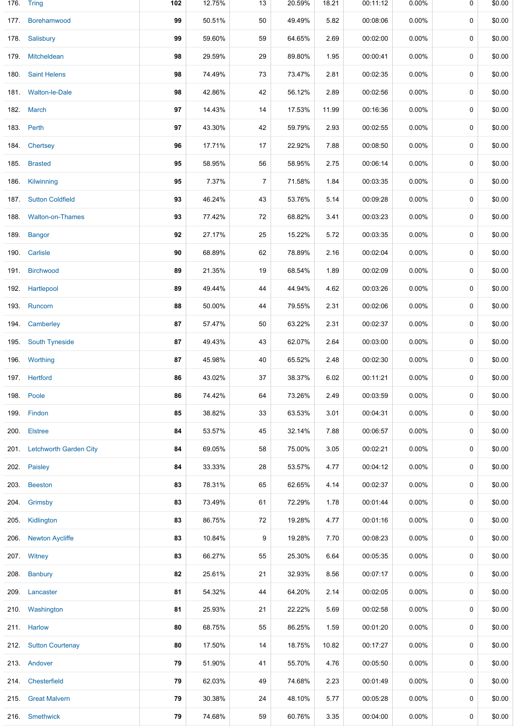|      | 176. Tring                  | 102 | 12.75% | 13             | 20.59% | 18.21 | 00:11:12 | 0.00%    | 0 | \$0.00 |
|------|-----------------------------|-----|--------|----------------|--------|-------|----------|----------|---|--------|
| 177. | Borehamwood                 | 99  | 50.51% | 50             | 49.49% | 5.82  | 00:08:06 | 0.00%    | 0 | \$0.00 |
|      | 178. Salisbury              | 99  | 59.60% | 59             | 64.65% | 2.69  | 00:02:00 | 0.00%    | 0 | \$0.00 |
| 179. | Mitcheldean                 | 98  | 29.59% | 29             | 89.80% | 1.95  | 00:00:41 | $0.00\%$ | 0 | \$0.00 |
| 180. | <b>Saint Helens</b>         | 98  | 74.49% | 73             | 73.47% | 2.81  | 00:02:35 | 0.00%    | 0 | \$0.00 |
|      | 181. Walton-le-Dale         | 98  | 42.86% | 42             | 56.12% | 2.89  | 00:02:56 | 0.00%    | 0 | \$0.00 |
|      | 182. March                  | 97  | 14.43% | 14             | 17.53% | 11.99 | 00:16:36 | $0.00\%$ | 0 | \$0.00 |
| 183. | Perth                       | 97  | 43.30% | 42             | 59.79% | 2.93  | 00:02:55 | $0.00\%$ | 0 | \$0.00 |
|      | 184. Chertsey               | 96  | 17.71% | 17             | 22.92% | 7.88  | 00:08:50 | $0.00\%$ | 0 | \$0.00 |
| 185. | <b>Brasted</b>              | 95  | 58.95% | 56             | 58.95% | 2.75  | 00:06:14 | 0.00%    | 0 | \$0.00 |
| 186. | Kilwinning                  | 95  | 7.37%  | $\overline{7}$ | 71.58% | 1.84  | 00:03:35 | $0.00\%$ | 0 | \$0.00 |
|      | 187. Sutton Coldfield       | 93  | 46.24% | 43             | 53.76% | 5.14  | 00:09:28 | 0.00%    | 0 | \$0.00 |
| 188. | <b>Walton-on-Thames</b>     | 93  | 77.42% | 72             | 68.82% | 3.41  | 00:03:23 | 0.00%    | 0 | \$0.00 |
|      | 189. Bangor                 | 92  | 27.17% | 25             | 15.22% | 5.72  | 00:03:35 | $0.00\%$ | 0 | \$0.00 |
| 190. | Carlisle                    | 90  | 68.89% | 62             | 78.89% | 2.16  | 00:02:04 | $0.00\%$ | 0 | \$0.00 |
|      | 191. Birchwood              | 89  | 21.35% | 19             | 68.54% | 1.89  | 00:02:09 | $0.00\%$ | 0 | \$0.00 |
| 192. | Hartlepool                  | 89  | 49.44% | 44             | 44.94% | 4.62  | 00:03:26 | $0.00\%$ | 0 | \$0.00 |
|      | 193. Runcorn                | 88  | 50.00% | 44             | 79.55% | 2.31  | 00:02:06 | 0.00%    | 0 | \$0.00 |
|      | 194. Camberley              | 87  | 57.47% | 50             | 63.22% | 2.31  | 00:02:37 | 0.00%    | 0 | \$0.00 |
| 195. | <b>South Tyneside</b>       | 87  | 49.43% | 43             | 62.07% | 2.64  | 00:03:00 | $0.00\%$ | 0 | \$0.00 |
|      | 196. Worthing               | 87  | 45.98% | 40             | 65.52% | 2.48  | 00:02:30 | $0.00\%$ | 0 | \$0.00 |
|      | 197. Hertford               | 86  | 43.02% | 37             | 38.37% | 6.02  | 00:11:21 | 0.00%    | 0 | \$0.00 |
|      | 198. Poole                  | 86  | 74.42% | 64             | 73.26% | 2.49  | 00:03:59 | 0.00%    | 0 | \$0.00 |
| 199. | Findon                      | 85  | 38.82% | 33             | 63.53% | 3.01  | 00:04:31 | $0.00\%$ | 0 | \$0.00 |
|      | 200. Elstree                | 84  | 53.57% | 45             | 32.14% | 7.88  | 00:06:57 | $0.00\%$ | 0 | \$0.00 |
|      | 201. Letchworth Garden City | 84  | 69.05% | 58             | 75.00% | 3.05  | 00:02:21 | $0.00\%$ | 0 | \$0.00 |
|      | 202. Paisley                | 84  | 33.33% | 28             | 53.57% | 4.77  | 00:04:12 | $0.00\%$ | 0 | \$0.00 |
|      | 203. Beeston                | 83  | 78.31% | 65             | 62.65% | 4.14  | 00:02:37 | $0.00\%$ | 0 | \$0.00 |
|      | 204. Grimsby                | 83  | 73.49% | 61             | 72.29% | 1.78  | 00:01:44 | $0.00\%$ | 0 | \$0.00 |
|      | 205. Kidlington             | 83  | 86.75% | 72             | 19.28% | 4.77  | 00:01:16 | $0.00\%$ | 0 | \$0.00 |
|      | 206. Newton Aycliffe        | 83  | 10.84% | 9              | 19.28% | 7.70  | 00:08:23 | $0.00\%$ | 0 | \$0.00 |
|      | 207. Witney                 | 83  | 66.27% | 55             | 25.30% | 6.64  | 00:05:35 | $0.00\%$ | 0 | \$0.00 |
|      | 208. Banbury                | 82  | 25.61% | 21             | 32.93% | 8.56  | 00:07:17 | $0.00\%$ | 0 | \$0.00 |
|      | 209. Lancaster              | 81  | 54.32% | 44             | 64.20% | 2.14  | 00:02:05 | $0.00\%$ | 0 | \$0.00 |
|      | 210. Washington             | 81  | 25.93% | 21             | 22.22% | 5.69  | 00:02:58 | $0.00\%$ | 0 | \$0.00 |
|      | 211. Harlow                 | 80  | 68.75% | 55             | 86.25% | 1.59  | 00:01:20 | $0.00\%$ | 0 | \$0.00 |
|      | 212. Sutton Courtenay       | 80  | 17.50% | 14             | 18.75% | 10.82 | 00:17:27 | 0.00%    | 0 | \$0.00 |
|      | 213. Andover                | 79  | 51.90% | 41             | 55.70% | 4.76  | 00:05:50 | $0.00\%$ | 0 | \$0.00 |
|      | 214 Chesterfield            | 79  | 62.03% | 49             | 74.68% | 2.23  | 00:01:49 | $0.00\%$ | 0 | \$0.00 |
|      | 215. Great Malvern          | 79  | 30.38% | 24             | 48.10% | 5.77  | 00:05:28 | $0.00\%$ | 0 | \$0.00 |
|      | 216. Smethwick              | 79  | 74.68% | 59             | 60.76% | 3.35  | 00:04:00 | 0.00%    | 0 | \$0.00 |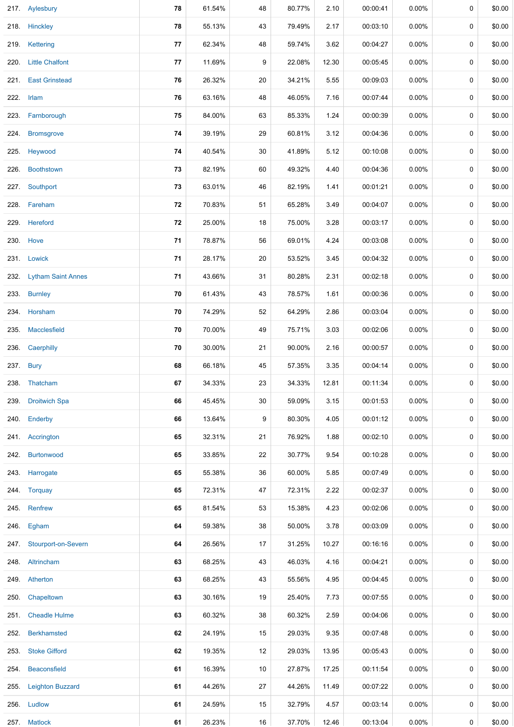|      | 217. Aylesbury           | 78 | 61.54% | 48 | 80.77% | 2.10  | 00:00:41 | $0.00\%$ | 0           | \$0.00 |
|------|--------------------------|----|--------|----|--------|-------|----------|----------|-------------|--------|
|      | 218. Hinckley            | 78 | 55.13% | 43 | 79.49% | 2.17  | 00:03:10 | $0.00\%$ | 0           | \$0.00 |
|      | 219. Kettering           | 77 | 62.34% | 48 | 59.74% | 3.62  | 00:04:27 | 0.00%    | $\mathbf 0$ | \$0.00 |
|      | 220. Little Chalfont     | 77 | 11.69% | 9  | 22.08% | 12.30 | 00:05:45 | $0.00\%$ | 0           | \$0.00 |
|      | 221. East Grinstead      | 76 | 26.32% | 20 | 34.21% | 5.55  | 00:09:03 | 0.00%    | 0           | \$0.00 |
|      | 222. Irlam               | 76 | 63.16% | 48 | 46.05% | 7.16  | 00:07:44 | $0.00\%$ | 0           | \$0.00 |
|      | 223. Farnborough         | 75 | 84.00% | 63 | 85.33% | 1.24  | 00:00:39 | $0.00\%$ | 0           | \$0.00 |
| 224. | <b>Bromsgrove</b>        | 74 | 39.19% | 29 | 60.81% | 3.12  | 00:04:36 | 0.00%    | 0           | \$0.00 |
|      | 225. Heywood             | 74 | 40.54% | 30 | 41.89% | 5.12  | 00:10:08 | $0.00\%$ | 0           | \$0.00 |
| 226. | <b>Boothstown</b>        | 73 | 82.19% | 60 | 49.32% | 4.40  | 00:04:36 | $0.00\%$ | 0           | \$0.00 |
|      | 227. Southport           | 73 | 63.01% | 46 | 82.19% | 1.41  | 00:01:21 | 0.00%    | 0           | \$0.00 |
|      | 228. Fareham             | 72 | 70.83% | 51 | 65.28% | 3.49  | 00:04:07 | $0.00\%$ | 0           | \$0.00 |
|      | 229. Hereford            | 72 | 25.00% | 18 | 75.00% | 3.28  | 00:03:17 | 0.00%    | 0           | \$0.00 |
|      | 230. Hove                | 71 | 78.87% | 56 | 69.01% | 4.24  | 00:03:08 | $0.00\%$ | $\mathbf 0$ | \$0.00 |
|      | 231. Lowick              | 71 | 28.17% | 20 | 53.52% | 3.45  | 00:04:32 | $0.00\%$ | 0           | \$0.00 |
|      | 232. Lytham Saint Annes  | 71 | 43.66% | 31 | 80.28% | 2.31  | 00:02:18 | $0.00\%$ | 0           | \$0.00 |
| 233. | <b>Burnley</b>           | 70 | 61.43% | 43 | 78.57% | 1.61  | 00:00:36 | 0.00%    | 0           | \$0.00 |
|      | 234. Horsham             | 70 | 74.29% | 52 | 64.29% | 2.86  | 00:03:04 | 0.00%    | $\mathbf 0$ | \$0.00 |
| 235. | Macclesfield             | 70 | 70.00% | 49 | 75.71% | 3.03  | 00:02:06 | $0.00\%$ | 0           | \$0.00 |
| 236. | Caerphilly               | 70 | 30.00% | 21 | 90.00% | 2.16  | 00:00:57 | $0.00\%$ | 0           | \$0.00 |
| 237. | <b>Bury</b>              | 68 | 66.18% | 45 | 57.35% | 3.35  | 00:04:14 | $0.00\%$ | 0           | \$0.00 |
|      | 238. Thatcham            | 67 | 34.33% | 23 | 34.33% | 12.81 | 00:11:34 | 0.00%    | 0           | \$0.00 |
| 239. | <b>Droitwich Spa</b>     | 66 | 45.45% | 30 | 59.09% | 3.15  | 00:01:53 | 0.00%    | 0           | \$0.00 |
| 240. | Enderby                  | 66 | 13.64% | 9  | 80.30% | 4.05  | 00:01:12 | $0.00\%$ | 0           | \$0.00 |
|      | 241 Accrington           | 65 | 32.31% | 21 | 76.92% | 1.88  | 00:02:10 | $0.00\%$ | 0           | \$0.00 |
| 242. | Burtonwood               | 65 | 33.85% | 22 | 30.77% | 9.54  | 00:10:28 | $0.00\%$ | 0           | \$0.00 |
|      | 243. Harrogate           | 65 | 55.38% | 36 | 60.00% | 5.85  | 00:07:49 | $0.00\%$ | 0           | \$0.00 |
|      | 244. Torquay             | 65 | 72.31% | 47 | 72.31% | 2.22  | 00:02:37 | 0.00%    | 0           | \$0.00 |
| 245. | Renfrew                  | 65 | 81.54% | 53 | 15.38% | 4.23  | 00:02:06 | $0.00\%$ | 0           | \$0.00 |
|      | 246. Egham               | 64 | 59.38% | 38 | 50.00% | 3.78  | 00:03:09 | 0.00%    | 0           | \$0.00 |
|      | 247. Stourport-on-Severn | 64 | 26.56% | 17 | 31.25% | 10.27 | 00:16:16 | $0.00\%$ | 0           | \$0.00 |
|      | 248. Altrincham          | 63 | 68.25% | 43 | 46.03% | 4.16  | 00:04:21 | $0.00\%$ | 0           | \$0.00 |
|      | 249. Atherton            | 63 | 68.25% | 43 | 55.56% | 4.95  | 00:04:45 | $0.00\%$ | 0           | \$0.00 |
|      | 250. Chapeltown          | 63 | 30.16% | 19 | 25.40% | 7.73  | 00:07:55 | $0.00\%$ | 0           | \$0.00 |
| 251. | <b>Cheadle Hulme</b>     | 63 | 60.32% | 38 | 60.32% | 2.59  | 00:04:06 | $0.00\%$ | 0           | \$0.00 |
| 252. | <b>Berkhamsted</b>       | 62 | 24.19% | 15 | 29.03% | 9.35  | 00:07:48 | $0.00\%$ | 0           | \$0.00 |
| 253. | <b>Stoke Gifford</b>     | 62 | 19.35% | 12 | 29.03% | 13.95 | 00:05:43 | $0.00\%$ | 0           | \$0.00 |
| 254. | Beaconsfield             | 61 | 16.39% | 10 | 27.87% | 17.25 | 00:11:54 | $0.00\%$ | 0           | \$0.00 |
| 255. | <b>Leighton Buzzard</b>  | 61 | 44.26% | 27 | 44.26% | 11.49 | 00:07:22 | 0.00%    | 0           | \$0.00 |
|      | 256. Ludlow              | 61 | 24.59% | 15 | 32.79% | 4.57  | 00:03:14 | $0.00\%$ | 0           | \$0.00 |
|      | 257. Matlock             | 61 | 26.23% | 16 | 37.70% | 12.46 | 00:13:04 | $0.00\%$ | 0           | \$0.00 |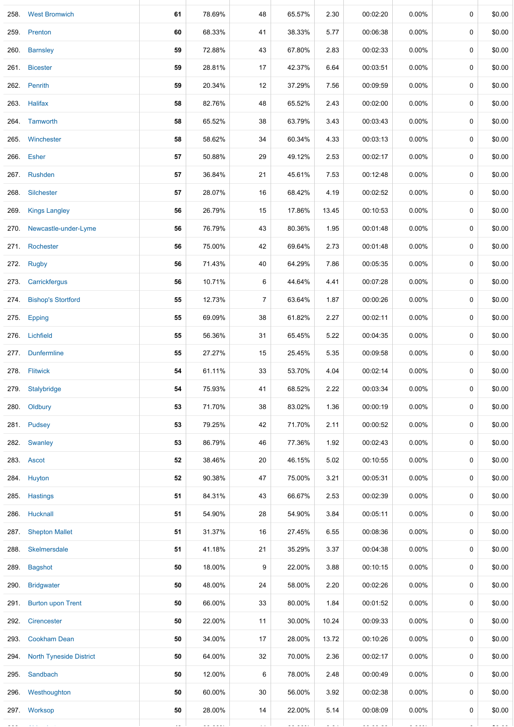| 258. | <b>West Bromwich</b>           | 61 | 78.69% | 48             | 65.57% | 2.30  | 00:02:20 | 0.00%    | 0           | \$0.00 |
|------|--------------------------------|----|--------|----------------|--------|-------|----------|----------|-------------|--------|
|      | 259. Prenton                   | 60 | 68.33% | 41             | 38.33% | 5.77  | 00:06:38 | $0.00\%$ | 0           | \$0.00 |
| 260. | <b>Barnsley</b>                | 59 | 72.88% | 43             | 67.80% | 2.83  | 00:02:33 | $0.00\%$ | 0           | \$0.00 |
| 261. | <b>Bicester</b>                | 59 | 28.81% | 17             | 42.37% | 6.64  | 00:03:51 | 0.00%    | 0           | \$0.00 |
|      | 262. Penrith                   | 59 | 20.34% | 12             | 37.29% | 7.56  | 00:09:59 | $0.00\%$ | 0           | \$0.00 |
| 263. | <b>Halifax</b>                 | 58 | 82.76% | 48             | 65.52% | 2.43  | 00:02:00 | 0.00%    | 0           | \$0.00 |
|      | 264. Tamworth                  | 58 | 65.52% | 38             | 63.79% | 3.43  | 00:03:43 | $0.00\%$ | 0           | \$0.00 |
| 265. | Winchester                     | 58 | 58.62% | 34             | 60.34% | 4.33  | 00:03:13 | $0.00\%$ | 0           | \$0.00 |
|      | 266. Esher                     | 57 | 50.88% | 29             | 49.12% | 2.53  | 00:02:17 | $0.00\%$ | 0           | \$0.00 |
| 267. | Rushden                        | 57 | 36.84% | 21             | 45.61% | 7.53  | 00:12:48 | 0.00%    | 0           | \$0.00 |
|      | 268. Silchester                | 57 | 28.07% | 16             | 68.42% | 4.19  | 00:02:52 | $0.00\%$ | 0           | \$0.00 |
| 269. | <b>Kings Langley</b>           | 56 | 26.79% | 15             | 17.86% | 13.45 | 00:10:53 | $0.00\%$ | 0           | \$0.00 |
| 270. | Newcastle-under-Lyme           | 56 | 76.79% | 43             | 80.36% | 1.95  | 00:01:48 | $0.00\%$ | 0           | \$0.00 |
| 271. | Rochester                      | 56 | 75.00% | 42             | 69.64% | 2.73  | 00:01:48 | 0.00%    | 0           | \$0.00 |
| 272. | <b>Rugby</b>                   | 56 | 71.43% | 40             | 64.29% | 7.86  | 00:05:35 | 0.00%    | 0           | \$0.00 |
| 273. | Carrickfergus                  | 56 | 10.71% | 6              | 44.64% | 4.41  | 00:07:28 | $0.00\%$ | 0           | \$0.00 |
| 274. | <b>Bishop's Stortford</b>      | 55 | 12.73% | $\overline{7}$ | 63.64% | 1.87  | 00:00:26 | $0.00\%$ | 0           | \$0.00 |
| 275. | Epping                         | 55 | 69.09% | 38             | 61.82% | 2.27  | 00:02:11 | $0.00\%$ | 0           | \$0.00 |
|      | 276. Lichfield                 | 55 | 56.36% | 31             | 65.45% | 5.22  | 00:04:35 | $0.00\%$ | 0           | \$0.00 |
| 277. | Dunfermline                    | 55 | 27.27% | 15             | 25.45% | 5.35  | 00:09:58 | $0.00\%$ | 0           | \$0.00 |
|      | 278. Flitwick                  | 54 | 61.11% | 33             | 53.70% | 4.04  | 00:02:14 | 0.00%    | 0           | \$0.00 |
|      | 279. Stalybridge               | 54 | 75.93% | 41             | 68.52% | 2.22  | 00:03:34 | 0.00%    | 0           | \$0.00 |
|      | 280. Oldbury                   | 53 | 71.70% | 38             | 83.02% | 1.36  | 00:00:19 | 0.00%    | 0           | \$0.00 |
|      | 281. Pudsey                    | 53 | 79.25% | 42             | 71.70% | 2.11  | 00:00:52 | 0.00%    | 0           | \$0.00 |
|      | 282. Swanley                   | 53 | 86.79% | 46             | 77.36% | 1.92  | 00:02:43 | $0.00\%$ | 0           | \$0.00 |
|      | 283. Ascot                     | 52 | 38.46% | 20             | 46.15% | 5.02  | 00:10:55 | $0.00\%$ | 0           | \$0.00 |
|      | 284. Huyton                    | 52 | 90.38% | 47             | 75.00% | 3.21  | 00:05:31 | $0.00\%$ | 0           | \$0.00 |
|      | 285. Hastings                  | 51 | 84.31% | 43             | 66.67% | 2.53  | 00:02:39 | $0.00\%$ | $\mathbf 0$ | \$0.00 |
|      | 286. Hucknall                  | 51 | 54.90% | 28             | 54.90% | 3.84  | 00:05:11 | $0.00\%$ | 0           | \$0.00 |
|      | 287. Shepton Mallet            | 51 | 31.37% | 16             | 27.45% | 6.55  | 00:08:36 | $0.00\%$ | 0           | \$0.00 |
|      | 288. Skelmersdale              | 51 | 41.18% | 21             | 35.29% | 3.37  | 00:04:38 | $0.00\%$ | 0           | \$0.00 |
| 289. | <b>Bagshot</b>                 | 50 | 18.00% | 9              | 22.00% | 3.88  | 00:10:15 | $0.00\%$ | 0           | \$0.00 |
| 290. | <b>Bridgwater</b>              | 50 | 48.00% | 24             | 58.00% | 2.20  | 00:02:26 | $0.00\%$ | 0           | \$0.00 |
| 291. | <b>Burton upon Trent</b>       | 50 | 66.00% | 33             | 80.00% | 1.84  | 00:01:52 | $0.00\%$ | 0           | \$0.00 |
| 292. | Cirencester                    | 50 | 22.00% | 11             | 30.00% | 10.24 | 00:09:33 | $0.00\%$ | 0           | \$0.00 |
| 293. | <b>Cookham Dean</b>            | 50 | 34.00% | 17             | 28.00% | 13.72 | 00:10:26 | $0.00\%$ | 0           | \$0.00 |
| 294. | <b>North Tyneside District</b> | 50 | 64.00% | 32             | 70.00% | 2.36  | 00:02:17 | $0.00\%$ | 0           | \$0.00 |
|      | 295. Sandbach                  | 50 | 12.00% | 6              | 78.00% | 2.48  | 00:00:49 | $0.00\%$ | 0           | \$0.00 |
|      | 296. Westhoughton              | 50 | 60.00% | 30             | 56.00% | 3.92  | 00:02:38 | $0.00\%$ | 0           | \$0.00 |
|      | 297. Worksop                   | 50 | 28.00% | 14             | 22.00% | 5.14  | 00:08:09 | $0.00\%$ | 0           | \$0.00 |
|      |                                |    |        |                |        |       |          |          |             |        |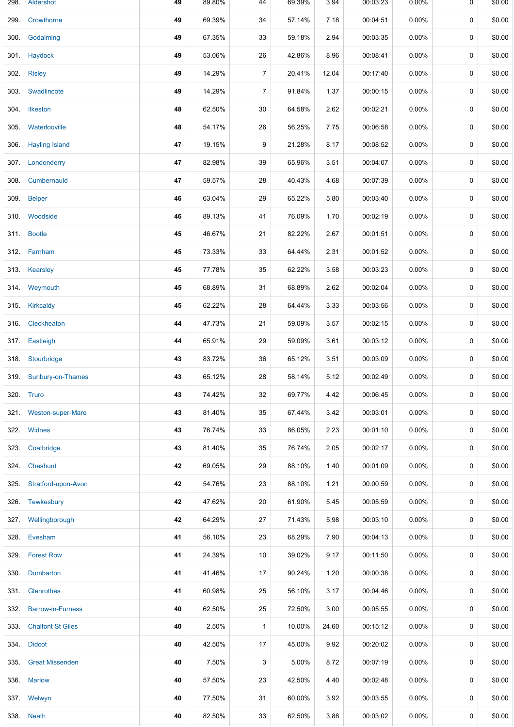|      | 298. Aldershot           | 49 | 89.80% | 44             | 69.39% | 3.94  | 00:03:23 | $0.00\%$ | 0 | \$0.00 |
|------|--------------------------|----|--------|----------------|--------|-------|----------|----------|---|--------|
| 299. | Crowthorne               | 49 | 69.39% | 34             | 57.14% | 7.18  | 00:04:51 | 0.00%    | 0 | \$0.00 |
| 300. | Godalming                | 49 | 67.35% | 33             | 59.18% | 2.94  | 00:03:35 | $0.00\%$ | 0 | \$0.00 |
| 301. | Haydock                  | 49 | 53.06% | 26             | 42.86% | 8.96  | 00:08:41 | $0.00\%$ | 0 | \$0.00 |
|      | 302. Risley              | 49 | 14.29% | $\overline{7}$ | 20.41% | 12.04 | 00:17:40 | 0.00%    | 0 | \$0.00 |
|      | 303 Swadlincote          | 49 | 14.29% | $\overline{7}$ | 91.84% | 1.37  | 00:00:15 | 0.00%    | 0 | \$0.00 |
|      | 304. Ilkeston            | 48 | 62.50% | 30             | 64.58% | 2.62  | 00:02:21 | 0.00%    | 0 | \$0.00 |
| 305. | Waterlooville            | 48 | 54.17% | 26             | 56.25% | 7.75  | 00:06:58 | 0.00%    | 0 | \$0.00 |
| 306. | <b>Hayling Island</b>    | 47 | 19.15% | 9              | 21.28% | 8.17  | 00:08:52 | $0.00\%$ | 0 | \$0.00 |
|      | 307. Londonderry         | 47 | 82.98% | 39             | 65.96% | 3.51  | 00:04:07 | 0.00%    | 0 | \$0.00 |
| 308. | Cumbernauld              | 47 | 59.57% | 28             | 40.43% | 4.68  | 00:07:39 | $0.00\%$ | 0 | \$0.00 |
| 309. | <b>Belper</b>            | 46 | 63.04% | 29             | 65.22% | 5.80  | 00:03:40 | $0.00\%$ | 0 | \$0.00 |
|      | 310. Woodside            | 46 | 89.13% | 41             | 76.09% | 1.70  | 00:02:19 | $0.00\%$ | 0 | \$0.00 |
|      | 311. Bootle              | 45 | 46.67% | 21             | 82.22% | 2.67  | 00:01:51 | $0.00\%$ | 0 | \$0.00 |
|      | 312. Farnham             | 45 | 73.33% | 33             | 64.44% | 2.31  | 00:01:52 | 0.00%    | 0 | \$0.00 |
|      | 313. Kearsley            | 45 | 77.78% | 35             | 62.22% | 3.58  | 00:03:23 | 0.00%    | 0 | \$0.00 |
|      | 314. Weymouth            | 45 | 68.89% | 31             | 68.89% | 2.62  | 00:02:04 | 0.00%    | 0 | \$0.00 |
|      | 315. Kirkcaldy           | 45 | 62.22% | 28             | 64.44% | 3.33  | 00:03:56 | 0.00%    | 0 | \$0.00 |
|      | 316. Cleckheaton         | 44 | 47.73% | 21             | 59.09% | 3.57  | 00:02:15 | 0.00%    | 0 | \$0.00 |
|      | 317. Eastleigh           | 44 | 65.91% | 29             | 59.09% | 3.61  | 00:03:12 | $0.00\%$ | 0 | \$0.00 |
|      | 318. Stourbridge         | 43 | 83.72% | 36             | 65.12% | 3.51  | 00:03:09 | $0.00\%$ | 0 | \$0.00 |
|      | 319. Sunbury-on-Thames   | 43 | 65.12% | 28             | 58.14% | 5.12  | 00:02:49 | 0.00%    | 0 | \$0.00 |
|      | 320. Truro               | 43 | 74.42% | 32             | 69.77% | 4.42  | 00:06:45 | 0.00%    | 0 | \$0.00 |
| 321. | <b>Weston-super-Mare</b> | 43 | 81.40% | 35             | 67.44% | 3.42  | 00:03:01 | $0.00\%$ | 0 | \$0.00 |
|      | 322. Widnes              | 43 | 76.74% | 33             | 86.05% | 2.23  | 00:01:10 | $0.00\%$ | 0 | \$0.00 |
| 323. | Coatbridge               | 43 | 81.40% | 35             | 76.74% | 2.05  | 00:02:17 | 0.00%    | 0 | \$0.00 |
|      | 324. Cheshunt            | 42 | 69.05% | 29             | 88.10% | 1.40  | 00:01:09 | $0.00\%$ | 0 | \$0.00 |
| 325. | Stratford-upon-Avon      | 42 | 54.76% | 23             | 88.10% | 1.21  | 00:00:59 | 0.00%    | 0 | \$0.00 |
| 326. | Tewkesbury               | 42 | 47.62% | 20             | 61.90% | 5.45  | 00:05:59 | $0.00\%$ | 0 | \$0.00 |
|      | 327. Wellingborough      | 42 | 64.29% | 27             | 71.43% | 5.98  | 00:03:10 | $0.00\%$ | 0 | \$0.00 |
| 328. | Evesham                  | 41 | 56.10% | 23             | 68.29% | 7.90  | 00:04:13 | $0.00\%$ | 0 | \$0.00 |
|      | 329. Forest Row          | 41 | 24.39% | 10             | 39.02% | 9.17  | 00:11:50 | $0.00\%$ | 0 | \$0.00 |
| 330. | Dumbarton                | 41 | 41.46% | 17             | 90.24% | 1.20  | 00:00:38 | 0.00%    | 0 | \$0.00 |
|      | 331. Glenrothes          | 41 | 60.98% | 25             | 56.10% | 3.17  | 00:04:46 | 0.00%    | 0 | \$0.00 |
| 332. | <b>Barrow-in-Furness</b> | 40 | 62.50% | 25             | 72.50% | 3.00  | 00:05:55 | 0.00%    | 0 | \$0.00 |
| 333. | <b>Chalfont St Giles</b> | 40 | 2.50%  | 1              | 10.00% | 24.60 | 00:15:12 | $0.00\%$ | 0 | \$0.00 |
|      | 334. Didcot              | 40 | 42.50% | 17             | 45.00% | 9.92  | 00:20:02 | 0.00%    | 0 | \$0.00 |
| 335. | <b>Great Missenden</b>   | 40 | 7.50%  | 3              | 5.00%  | 8.72  | 00:07:19 | $0.00\%$ | 0 | \$0.00 |
| 336. | <b>Marlow</b>            | 40 | 57.50% | 23             | 42.50% | 4.40  | 00:02:48 | $0.00\%$ | 0 | \$0.00 |
|      | 337. Welwyn              | 40 | 77.50% | 31             | 60.00% | 3.92  | 00:03:55 | $0.00\%$ | 0 | \$0.00 |
|      | 338. Neath               | 40 | 82.50% | 33             | 62.50% | 3.88  | 00:03:02 | 0.00%    | 0 | \$0.00 |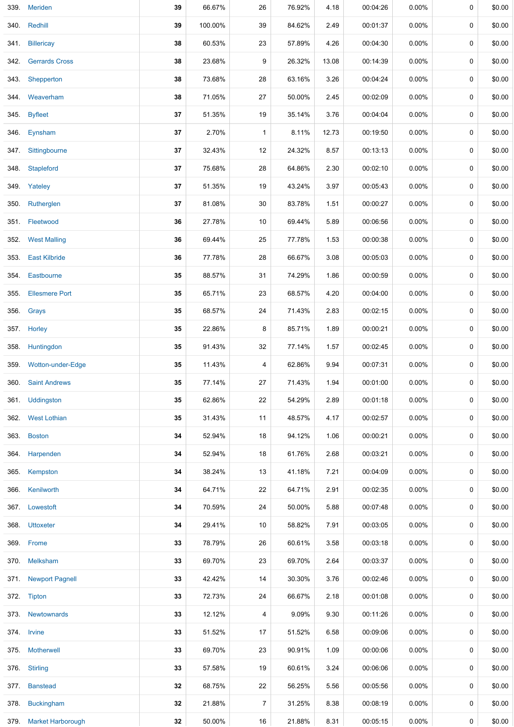|      | 339. Meriden           | 39 | 66.67%  | 26             | 76.92% | 4.18  | 00:04:26 | $0.00\%$ | 0 | \$0.00 |
|------|------------------------|----|---------|----------------|--------|-------|----------|----------|---|--------|
|      | 340. Redhill           | 39 | 100.00% | 39             | 84.62% | 2.49  | 00:01:37 | 0.00%    | 0 | \$0.00 |
|      | 341. Billericay        | 38 | 60.53%  | 23             | 57.89% | 4.26  | 00:04:30 | 0.00%    | 0 | \$0.00 |
|      | 342. Gerrards Cross    | 38 | 23.68%  | 9              | 26.32% | 13.08 | 00:14:39 | 0.00%    | 0 | \$0.00 |
| 343. | Shepperton             | 38 | 73.68%  | 28             | 63.16% | 3.26  | 00:04:24 | $0.00\%$ | 0 | \$0.00 |
|      | 344 Weaverham          | 38 | 71.05%  | 27             | 50.00% | 2.45  | 00:02:09 | 0.00%    | 0 | \$0.00 |
|      | 345 Byfleet            | 37 | 51.35%  | 19             | 35.14% | 3.76  | 00:04:04 | 0.00%    | 0 | \$0.00 |
|      | 346. Eynsham           | 37 | 2.70%   | 1              | 8.11%  | 12.73 | 00:19:50 | 0.00%    | 0 | \$0.00 |
|      | 347. Sittingbourne     | 37 | 32.43%  | 12             | 24.32% | 8.57  | 00:13:13 | 0.00%    | 0 | \$0.00 |
|      | 348. Stapleford        | 37 | 75.68%  | 28             | 64.86% | 2.30  | 00:02:10 | 0.00%    | 0 | \$0.00 |
|      | 349. Yateley           | 37 | 51.35%  | 19             | 43.24% | 3.97  | 00:05:43 | 0.00%    | 0 | \$0.00 |
|      | 350. Rutherglen        | 37 | 81.08%  | 30             | 83.78% | 1.51  | 00:00:27 | 0.00%    | 0 | \$0.00 |
|      | 351. Fleetwood         | 36 | 27.78%  | 10             | 69.44% | 5.89  | 00:06:56 | 0.00%    | 0 | \$0.00 |
|      | 352. West Malling      | 36 | 69.44%  | 25             | 77.78% | 1.53  | 00:00:38 | $0.00\%$ | 0 | \$0.00 |
|      | 353. East Kilbride     | 36 | 77.78%  | 28             | 66.67% | 3.08  | 00:05:03 | 0.00%    | 0 | \$0.00 |
|      | 354. Eastbourne        | 35 | 88.57%  | 31             | 74.29% | 1.86  | 00:00:59 | 0.00%    | 0 | \$0.00 |
| 355. | <b>Ellesmere Port</b>  | 35 | 65.71%  | 23             | 68.57% | 4.20  | 00:04:00 | 0.00%    | 0 | \$0.00 |
|      | 356. Grays             | 35 | 68.57%  | 24             | 71.43% | 2.83  | 00:02:15 | $0.00\%$ | 0 | \$0.00 |
|      | 357. Horley            | 35 | 22.86%  | 8              | 85.71% | 1.89  | 00:00:21 | 0.00%    | 0 | \$0.00 |
|      | 358. Huntingdon        | 35 | 91.43%  | 32             | 77.14% | 1.57  | 00:02:45 | 0.00%    | 0 | \$0.00 |
|      | 359. Wotton-under-Edge | 35 | 11.43%  | 4              | 62.86% | 9.94  | 00:07:31 | 0.00%    | 0 | \$0.00 |
|      | 360. Saint Andrews     | 35 | 77.14%  | 27             | 71.43% | 1.94  | 00:01:00 | 0.00%    | 0 | \$0.00 |
|      | 361. Uddingston        | 35 | 62.86%  | 22             | 54.29% | 2.89  | 00:01:18 | 0.00%    | 0 | \$0.00 |
| 362. | <b>West Lothian</b>    | 35 | 31.43%  | 11             | 48.57% | 4.17  | 00:02:57 | 0.00%    | 0 | \$0.00 |
|      | 363. Boston            | 34 | 52.94%  | 18             | 94.12% | 1.06  | 00:00:21 | $0.00\%$ | 0 | \$0.00 |
|      | 364. Harpenden         | 34 | 52.94%  | 18             | 61.76% | 2.68  | 00:03:21 | 0.00%    | 0 | \$0.00 |
|      | 365. Kempston          | 34 | 38.24%  | 13             | 41.18% | 7.21  | 00:04:09 | $0.00\%$ | 0 | \$0.00 |
|      | 366. Kenilworth        | 34 | 64.71%  | 22             | 64.71% | 2.91  | 00:02:35 | 0.00%    | 0 | \$0.00 |
|      | 367. Lowestoft         | 34 | 70.59%  | 24             | 50.00% | 5.88  | 00:07:48 | 0.00%    | 0 | \$0.00 |
|      | 368. Uttoxeter         | 34 | 29.41%  | 10             | 58.82% | 7.91  | 00:03:05 | 0.00%    | 0 | \$0.00 |
|      | 369. Frome             | 33 | 78.79%  | 26             | 60.61% | 3.58  | 00:03:18 | 0.00%    | 0 | \$0.00 |
|      | 370. Melksham          | 33 | 69.70%  | 23             | 69.70% | 2.64  | 00:03:37 | $0.00\%$ | 0 | \$0.00 |
|      | 371. Newport Pagnell   | 33 | 42.42%  | 14             | 30.30% | 3.76  | 00:02:46 | $0.00\%$ | 0 | \$0.00 |
|      | 372. Tipton            | 33 | 72.73%  | 24             | 66.67% | 2.18  | 00:01:08 | $0.00\%$ | 0 | \$0.00 |
|      | 373. Newtownards       | 33 | 12.12%  | 4              | 9.09%  | 9.30  | 00:11:26 | $0.00\%$ | 0 | \$0.00 |
|      | 374. Irvine            | 33 | 51.52%  | 17             | 51.52% | 6.58  | 00:09:06 | $0.00\%$ | 0 | \$0.00 |
|      | 375. Motherwell        | 33 | 69.70%  | 23             | 90.91% | 1.09  | 00:00:06 | 0.00%    | 0 | \$0.00 |
|      | 376 Stirling           | 33 | 57.58%  | 19             | 60.61% | 3.24  | 00:06:06 | 0.00%    | 0 | \$0.00 |
|      | 377. Banstead          | 32 | 68.75%  | 22             | 56.25% | 5.56  | 00:05:56 | $0.00\%$ | 0 | \$0.00 |
|      | 378. Buckingham        | 32 | 21.88%  | $\overline{7}$ | 31.25% | 8.38  | 00:08:19 | $0.00\%$ | 0 | \$0.00 |
|      | 379. Market Harborough | 32 | 50.00%  | 16             | 21.88% | 8.31  | 00:05:15 | $0.00\%$ | 0 | \$0.00 |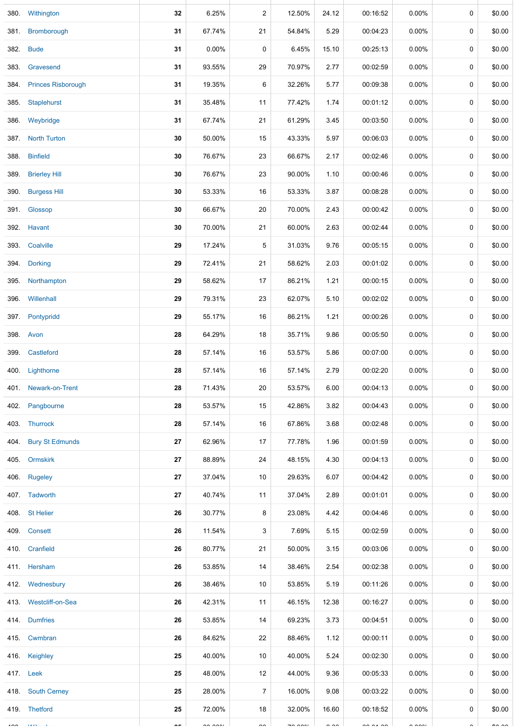|        | 380. Withington         | 32         | 6.25%  | $\overline{c}$ | 12.50%                   | 24.12         | 00:16:52 | $0.00\%$ | 0           | \$0.00        |
|--------|-------------------------|------------|--------|----------------|--------------------------|---------------|----------|----------|-------------|---------------|
| 381.   | Bromborough             | 31         | 67.74% | 21             | 54.84%                   | 5.29          | 00:04:23 | $0.00\%$ | 0           | \$0.00        |
|        | 382. Bude               | 31         | 0.00%  | $\pmb{0}$      | 6.45%                    | 15.10         | 00:25:13 | $0.00\%$ | 0           | \$0.00        |
| 383.   | Gravesend               | 31         | 93.55% | 29             | 70.97%                   | 2.77          | 00:02:59 | $0.00\%$ | 0           | \$0.00        |
|        | 384. Princes Risborough | 31         | 19.35% | 6              | 32.26%                   | 5.77          | 00:09:38 | $0.00\%$ | 0           | \$0.00        |
| 385.   | Staplehurst             | 31         | 35.48% | 11             | 77.42%                   | 1.74          | 00:01:12 | 0.00%    | 0           | \$0.00        |
|        | 386. Weybridge          | 31         | 67.74% | 21             | 61.29%                   | 3.45          | 00:03:50 | $0.00\%$ | 0           | \$0.00        |
|        | 387. North Turton       | 30         | 50.00% | 15             | 43.33%                   | 5.97          | 00:06:03 | $0.00\%$ | $\mathbf 0$ | \$0.00        |
|        | 388. Binfield           | 30         | 76.67% | 23             | 66.67%                   | 2.17          | 00:02:46 | $0.00\%$ | 0           | \$0.00        |
|        | 389. Brierley Hill      | 30         | 76.67% | 23             | 90.00%                   | 1.10          | 00:00:46 | $0.00\%$ | 0           | \$0.00        |
|        | 390. Burgess Hill       | 30         | 53.33% | 16             | 53.33%                   | 3.87          | 00:08:28 | 0.00%    | 0           | \$0.00        |
|        | 391. Glossop            | 30         | 66.67% | 20             | 70.00%                   | 2.43          | 00:00:42 | $0.00\%$ | 0           | \$0.00        |
| 392.   | Havant                  | 30         | 70.00% | 21             | 60.00%                   | 2.63          | 00:02:44 | $0.00\%$ | 0           | \$0.00        |
|        | 393. Coalville          | 29         | 17.24% | 5              | 31.03%                   | 9.76          | 00:05:15 | $0.00\%$ | 0           | \$0.00        |
|        | 394. Dorking            | 29         | 72.41% | 21             | 58.62%                   | 2.03          | 00:01:02 | $0.00\%$ | 0           | \$0.00        |
|        | 395. Northampton        | 29         | 58.62% | 17             | 86.21%                   | 1.21          | 00:00:15 | $0.00\%$ | 0           | \$0.00        |
|        | 396. Willenhall         | 29         | 79.31% | 23             | 62.07%                   | 5.10          | 00:02:02 | $0.00\%$ | 0           | \$0.00        |
|        | 397. Pontypridd         | 29         | 55.17% | 16             | 86.21%                   | 1.21          | 00:00:26 | 0.00%    | 0           | \$0.00        |
|        | 398. Avon               | 28         | 64.29% | 18             | 35.71%                   | 9.86          | 00:05:50 | 0.00%    | 0           | \$0.00        |
| 399.   | Castleford              | 28         | 57.14% | 16             | 53.57%                   | 5.86          | 00:07:00 | 0.00%    | 0           | \$0.00        |
|        | 400. Lighthorne         | 28         | 57.14% | 16             | 57.14%                   | 2.79          | 00:02:20 | 0.00%    | 0           | \$0.00        |
|        | 401. Newark-on-Trent    | 28         | 71.43% | 20             | 53.57%                   | 6.00          | 00:04:13 | $0.00\%$ | 0           | \$0.00        |
|        | 402. Pangbourne         | 28         | 53.57% | 15             | 42.86%                   | 3.82          | 00:04:43 | 0.00%    | 0           | \$0.00        |
|        | 403. Thurrock           | 28         | 57.14% | 16             | 67.86%                   | 3.68          | 00:02:48 | $0.00\%$ | 0           | \$0.00        |
|        | 404. Bury St Edmunds    | 27         | 62.96% | 17             | 77.78%                   | 1.96          | 00:01:59 | $0.00\%$ | 0           | \$0.00        |
|        | 405. Ormskirk           | 27         | 88.89% | 24             | 48.15%                   | 4.30          | 00:04:13 | $0.00\%$ | 0           | \$0.00        |
|        | 406. Rugeley            | 27         | 37.04% | 10             | 29.63%                   | 6.07          | 00:04:42 | 0.00%    | 0           | \$0.00        |
|        | 407. Tadworth           | 27         | 40.74% | 11             | 37.04%                   | 2.89          | 00:01:01 | 0.00%    | 0           | \$0.00        |
|        | 408 St Helier           | 26         | 30.77% | 8              | 23.08%                   | 4.42          | 00:04:46 | $0.00\%$ | 0           | \$0.00        |
|        | 409. Consett            | 26         | 11.54% | 3              | 7.69%                    | 5.15          | 00:02:59 | $0.00\%$ | 0           | \$0.00        |
|        | 410. Cranfield          | 26         | 80.77% | 21             | 50.00%                   | 3.15          | 00:03:06 | 0.00%    | 0           | \$0.00        |
|        | 411. Hersham            | 26         | 53.85% | 14             | 38.46%                   | 2.54          | 00:02:38 | 0.00%    | 0           | \$0.00        |
|        | 412 Wednesbury          | 26         | 38.46% | 10             | 53.85%                   | 5.19          | 00:11:26 | $0.00\%$ | 0           | \$0.00        |
|        | 413. Westcliff-on-Sea   | 26         | 42.31% | 11             | 46.15%                   | 12.38         | 00:16:27 | $0.00\%$ | 0           | \$0.00        |
|        | 414. Dumfries           | 26         | 53.85% | 14             | 69.23%                   | 3.73          | 00:04:51 | $0.00\%$ | 0           | \$0.00        |
|        | 415. Cwmbran            | 26         | 84.62% | 22             | 88.46%                   | 1.12          | 00:00:11 | 0.00%    | 0           | \$0.00        |
|        | 416. Keighley           | 25         | 40.00% | 10             | 40.00%                   | 5.24          | 00:02:30 | 0.00%    | 0           | \$0.00        |
|        | 417. Leek               | 25         | 48.00% | 12             | 44.00%                   | 9.36          | 00:05:33 | 0.00%    | 0           | \$0.00        |
|        | 418. South Cerney       | 25         | 28.00% | $\overline{7}$ | 16.00%                   | 9.08          | 00:03:22 | 0.00%    | 0           | \$0.00        |
|        | 419. Thetford           | 25         | 72.00% | 18             | 32.00%                   | 16.60         | 00:18:52 | $0.00\%$ | 0           | \$0.00        |
| $\sim$ | $A$ A $P$ L $\cdot$     | $\sim$ $-$ | 00000  | $\sim$         | $\overline{\phantom{a}}$ | $\sim$ $\sim$ | 0.010    | 0.0001   |             | $\sim$ $\sim$ |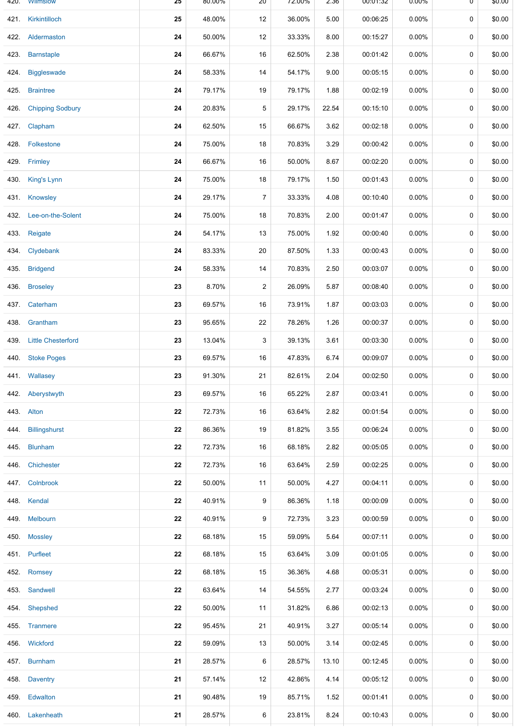|      | 420. VVIImslow          | 25 | 80.00% | ZU             | 72.00% | 2.36  | UU:U1:32 | <b>U.UU%</b> | ᠊ण       | \$0.00 |
|------|-------------------------|----|--------|----------------|--------|-------|----------|--------------|----------|--------|
|      | 421. Kirkintilloch      | 25 | 48.00% | 12             | 36.00% | 5.00  | 00:06:25 | 0.00%        | 0        | \$0.00 |
|      | 422. Aldermaston        | 24 | 50.00% | 12             | 33.33% | 8.00  | 00:15:27 | $0.00\%$     | 0        | \$0.00 |
|      | 423. Barnstaple         | 24 | 66.67% | 16             | 62.50% | 2.38  | 00:01:42 | 0.00%        | 0        | \$0.00 |
|      | 424. Biggleswade        | 24 | 58.33% | 14             | 54.17% | 9.00  | 00:05:15 | $0.00\%$     | 0        | \$0.00 |
|      | 425. Braintree          | 24 | 79.17% | 19             | 79.17% | 1.88  | 00:02:19 | 0.00%        | 0        | \$0.00 |
|      | 426. Chipping Sodbury   | 24 | 20.83% | 5              | 29.17% | 22.54 | 00:15:10 | $0.00\%$     | 0        | \$0.00 |
|      | 427. Clapham            | 24 | 62.50% | 15             | 66.67% | 3.62  | 00:02:18 | 0.00%        | 0        | \$0.00 |
|      | 428. Folkestone         | 24 | 75.00% | 18             | 70.83% | 3.29  | 00:00:42 | $0.00\%$     | 0        | \$0.00 |
|      | 429. Frimley            | 24 | 66.67% | 16             | 50.00% | 8.67  | 00:02:20 | 0.00%        | 0        | \$0.00 |
|      | 430. King's Lynn        | 24 | 75.00% | 18             | 79.17% | 1.50  | 00:01:43 | 0.00%        | 0        | \$0.00 |
|      | 431. Knowsley           | 24 | 29.17% | $\overline{7}$ | 33.33% | 4.08  | 00:10:40 | 0.00%        | 0        | \$0.00 |
|      | 432. Lee-on-the-Solent  | 24 | 75.00% | 18             | 70.83% | 2.00  | 00:01:47 | 0.00%        | 0        | \$0.00 |
|      | 433. Reigate            | 24 | 54.17% | 13             | 75.00% | 1.92  | 00:00:40 | $0.00\%$     | 0        | \$0.00 |
|      | 434. Clydebank          | 24 | 83.33% | 20             | 87.50% | 1.33  | 00:00:43 | 0.00%        | 0        | \$0.00 |
|      | 435. Bridgend           | 24 | 58.33% | 14             | 70.83% | 2.50  | 00:03:07 | $0.00\%$     | 0        | \$0.00 |
|      | 436. Broseley           | 23 | 8.70%  | $\overline{2}$ | 26.09% | 5.87  | 00:08:40 | 0.00%        | 0        | \$0.00 |
|      | 437. Caterham           | 23 | 69.57% | 16             | 73.91% | 1.87  | 00:03:03 | 0.00%        | 0        | \$0.00 |
| 438. | Grantham                | 23 | 95.65% | 22             | 78.26% | 1.26  | 00:00:37 | 0.00%        | 0        | \$0.00 |
|      | 439. Little Chesterford | 23 | 13.04% | 3              | 39.13% | 3.61  | 00:03:30 | 0.00%        | 0        | \$0.00 |
|      | 440. Stoke Poges        | 23 | 69.57% | 16             | 47.83% | 6.74  | 00:09:07 | 0.00%        | $\Omega$ | \$0.00 |
|      | 441. Wallasey           | 23 | 91.30% | 21             | 82.61% | 2.04  | 00:02:50 | 0.00%        | 0        | \$0.00 |
|      | 442. Aberystwyth        | 23 | 69.57% | 16             | 65.22% | 2.87  | 00:03:41 | $0.00\%$     | 0        | \$0.00 |
|      | 443. Alton              | 22 | 72.73% | 16             | 63.64% | 2.82  | 00:01:54 | 0.00%        | 0        | \$0.00 |
| 444. | Billingshurst           | 22 | 86.36% | 19             | 81.82% | 3.55  | 00:06:24 | $0.00\%$     | 0        | \$0.00 |
|      | 445. Blunham            | 22 | 72.73% | 16             | 68.18% | 2.82  | 00:05:05 | $0.00\%$     | 0        | \$0.00 |
| 446. | Chichester              | 22 | 72.73% | 16             | 63.64% | 2.59  | 00:02:25 | $0.00\%$     | 0        | \$0.00 |
|      | 447. Colnbrook          | 22 | 50.00% | 11             | 50.00% | 4.27  | 00:04:11 | 0.00%        | 0        | \$0.00 |
|      | 448. Kendal             | 22 | 40.91% | 9              | 86.36% | 1.18  | 00:00:09 | $0.00\%$     | 0        | \$0.00 |
|      | 449. Melbourn           | 22 | 40.91% | 9              | 72.73% | 3.23  | 00:00:59 | $0.00\%$     | 0        | \$0.00 |
|      | 450. Mossley            | 22 | 68.18% | 15             | 59.09% | 5.64  | 00:07:11 | 0.00%        | 0        | \$0.00 |
|      | 451. Purfleet           | 22 | 68.18% | 15             | 63.64% | 3.09  | 00:01:05 | $0.00\%$     | 0        | \$0.00 |
|      | 452. Romsey             | 22 | 68.18% | 15             | 36.36% | 4.68  | 00:05:31 | 0.00%        | 0        | \$0.00 |
|      | 453. Sandwell           | 22 | 63.64% | 14             | 54.55% | 2.77  | 00:03:24 | $0.00\%$     | 0        | \$0.00 |
| 454. | Shepshed                | 22 | 50.00% | 11             | 31.82% | 6.86  | 00:02:13 | $0.00\%$     | 0        | \$0.00 |
|      | 455. Tranmere           | 22 | 95.45% | 21             | 40.91% | 3.27  | 00:05:14 | $0.00\%$     | 0        | \$0.00 |
|      | 456. Wickford           | 22 | 59.09% | 13             | 50.00% | 3.14  | 00:02:45 | 0.00%        | 0        | \$0.00 |
|      | 457. Burnham            | 21 | 28.57% | 6              | 28.57% | 13.10 | 00:12:45 | 0.00%        | 0        | \$0.00 |
|      | 458. Daventry           | 21 | 57.14% | 12             | 42.86% | 4.14  | 00:05:12 | $0.00\%$     | 0        | \$0.00 |
|      | 459. Edwalton           | 21 | 90.48% | 19             | 85.71% | 1.52  | 00:01:41 | $0.00\%$     | 0        | \$0.00 |
|      | 460. Lakenheath         | 21 | 28.57% | 6              | 23.81% | 8.24  | 00:10:43 | $0.00\%$     | 0        | \$0.00 |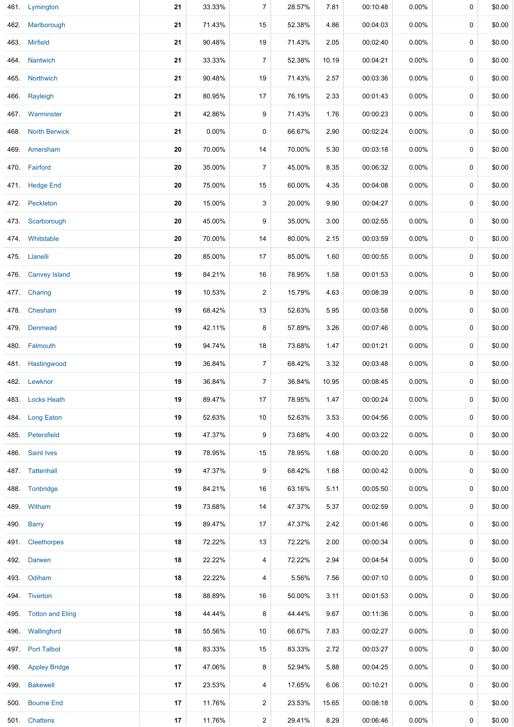|      | 461. Lymington        | 21 | 33.33% | 7              | 28.57% | 7.81  | 00:10:48 | 0.00%    | 0 | \$0.00 |
|------|-----------------------|----|--------|----------------|--------|-------|----------|----------|---|--------|
| 462. | Marlborough           | 21 | 71.43% | 15             | 52.38% | 4.86  | 00:04:03 | 0.00%    | 0 | \$0.00 |
|      | 463. Mirfield         | 21 | 90.48% | $19$           | 71.43% | 2.05  | 00:02:40 | $0.00\%$ | 0 | \$0.00 |
|      | 464. Nantwich         | 21 | 33.33% | $\overline{7}$ | 52.38% | 10.19 | 00:04:21 | 0.00%    | 0 | \$0.00 |
|      | 465. Northwich        | 21 | 90.48% | 19             | 71.43% | 2.57  | 00:03:36 | 0.00%    | 0 | \$0.00 |
|      | 466. Rayleigh         | 21 | 80.95% | 17             | 76.19% | 2.33  | 00:01:43 | 0.00%    | 0 | \$0.00 |
|      | 467. Warminster       | 21 | 42.86% | 9              | 71.43% | 1.76  | 00:00:23 | $0.00\%$ | 0 | \$0.00 |
|      | 468. North Berwick    | 21 | 0.00%  | 0              | 66.67% | 2.90  | 00:02:24 | 0.00%    | 0 | \$0.00 |
|      | 469. Amersham         | 20 | 70.00% | 14             | 70.00% | 5.30  | 00:03:18 | $0.00\%$ | 0 | \$0.00 |
|      | 470. Fairford         | 20 | 35.00% | 7              | 45.00% | 8.35  | 00:06:32 | 0.00%    | 0 | \$0.00 |
|      | 471. Hedge End        | 20 | 75.00% | 15             | 60.00% | 4.35  | 00:04:08 | $0.00\%$ | 0 | \$0.00 |
|      | 472. Peckleton        | 20 | 15.00% | 3              | 20.00% | 9.90  | 00:04:27 | 0.00%    | 0 | \$0.00 |
| 473. | Scarborough           | 20 | 45.00% | 9              | 35.00% | 3.00  | 00:02:55 | 0.00%    | 0 | \$0.00 |
|      | 474. Whitstable       | 20 | 70.00% | 14             | 80.00% | 2.15  | 00:03:59 | 0.00%    | 0 | \$0.00 |
|      | 475. Llanelli         | 20 | 85.00% | 17             | 85.00% | 1.60  | 00:00:55 | 0.00%    | 0 | \$0.00 |
|      | 476. Canvey Island    | 19 | 84.21% | 16             | 78.95% | 1.58  | 00:01:53 | 0.00%    | 0 | \$0.00 |
|      | 477. Charing          | 19 | 10.53% | $\overline{a}$ | 15.79% | 4.63  | 00:08:39 | 0.00%    | 0 | \$0.00 |
|      | 478. Chesham          | 19 | 68.42% | 13             | 52.63% | 5.95  | 00:03:58 | $0.00\%$ | 0 | \$0.00 |
|      | 479. Denmead          | 19 | 42.11% | 8              | 57.89% | 3.26  | 00:07:46 | $0.00\%$ | 0 | \$0.00 |
|      | 480. Falmouth         | 19 | 94.74% | 18             | 73.68% | 1.47  | 00:01:21 | $0.00\%$ | 0 | \$0.00 |
|      | 481. Hastingwood      | 19 | 36.84% | $\overline{7}$ | 68.42% | 3.32  | 00:03:48 | 0.00%    | 0 | \$0.00 |
|      | 482. Lewknor          | 19 | 36.84% | $\overline{7}$ | 36.84% | 10.95 | 00:08:45 | 0.00%    | 0 | \$0.00 |
|      | 483. Locks Heath      | 19 | 89.47% | 17             | 78.95% | 1.47  | 00:00:24 | $0.00\%$ | 0 | \$0.00 |
|      | 484. Long Eaton       | 19 | 52.63% | 10             | 52.63% | 3.53  | 00:04:56 | 0.00%    | 0 | \$0.00 |
|      | 485. Petersfield      | 19 | 47.37% | 9              | 73.68% | 4.00  | 00:03:22 | $0.00\%$ | 0 | \$0.00 |
|      | 486 Saint Ives        | 19 | 78.95% | 15             | 78.95% | 1.68  | 00:00:20 | $0.00\%$ | 0 | \$0.00 |
|      | 487. Tattenhall       | 19 | 47.37% | 9              | 68.42% | 1.68  | 00:00:42 | $0.00\%$ | 0 | \$0.00 |
|      | 488. Tonbridge        | 19 | 84.21% | 16             | 63.16% | 5.11  | 00:05:50 | $0.00\%$ | 0 | \$0.00 |
|      | 489. Witham           | 19 | 73.68% | 14             | 47.37% | 5.37  | 00:02:59 | $0.00\%$ | 0 | \$0.00 |
|      | 490. Barry            | 19 | 89.47% | 17             | 47.37% | 2.42  | 00:01:46 | 0.00%    | 0 | \$0.00 |
|      | 491 Cleethorpes       | 18 | 72.22% | 13             | 72.22% | 2.00  | 00:00:34 | 0.00%    | 0 | \$0.00 |
|      | 492. Darwen           | 18 | 22.22% | 4              | 72.22% | 2.94  | 00:04:54 | 0.00%    | 0 | \$0.00 |
|      | 493. Odiham           | 18 | 22.22% | 4              | 5.56%  | 7.56  | 00:07:10 | $0.00\%$ | 0 | \$0.00 |
|      | 494. Tiverton         | 18 | 88.89% | 16             | 50.00% | 3.11  | 00:01:53 | $0.00\%$ | 0 | \$0.00 |
|      | 495. Totton and Eling | 18 | 44.44% | 8              | 44.44% | 9.67  | 00:11:36 | 0.00%    | 0 | \$0.00 |
|      | 496. Wallingford      | 18 | 55.56% | 10             | 66.67% | 7.83  | 00:02:27 | 0.00%    | 0 | \$0.00 |
|      | 497. Port Talbot      | 18 | 83.33% | 15             | 83.33% | 2.72  | 00:03:27 | $0.00\%$ | 0 | \$0.00 |
|      | 498. Appley Bridge    | 17 | 47.06% | 8              | 52.94% | 5.88  | 00:04:25 | 0.00%    | 0 | \$0.00 |
|      | 499. Bakewell         | 17 | 23.53% | 4              | 17.65% | 6.06  | 00:10:21 | 0.00%    | 0 | \$0.00 |
| 500. | <b>Bourne End</b>     | 17 | 11.76% | $\overline{2}$ | 23.53% | 15.65 | 00:08:18 | 0.00%    | 0 | \$0.00 |
|      | 501. Chatteris        | 17 | 11.76% | $\overline{a}$ | 29.41% | 8.29  | 00:06:46 | $0.00\%$ | 0 | \$0.00 |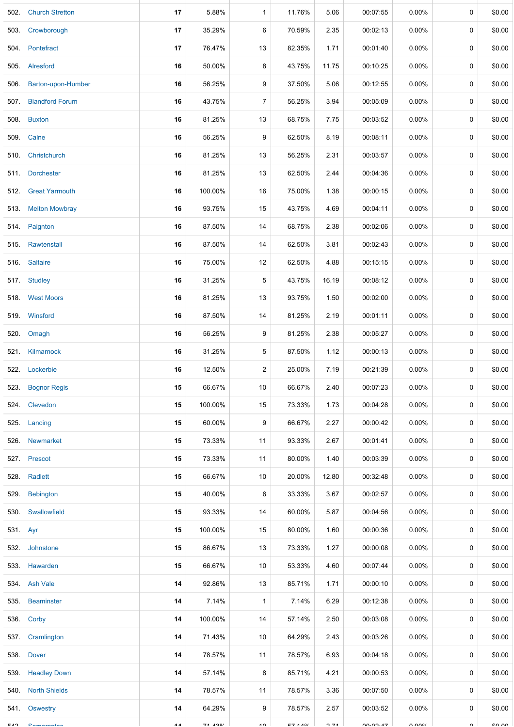| 502.     | <b>Church Stretton</b>  | 17             | 5.88%   | $\mathbf{1}$    | 11.76% | 5.06  | 00:07:55 | 0.00%                | 0           | \$0.00 |
|----------|-------------------------|----------------|---------|-----------------|--------|-------|----------|----------------------|-------------|--------|
|          | 503. Crowborough        | 17             | 35.29%  | 6               | 70.59% | 2.35  | 00:02:13 | $0.00\%$             | 0           | \$0.00 |
|          | 504. Pontefract         | 17             | 76.47%  | 13              | 82.35% | 1.71  | 00:01:40 | $0.00\%$             | 0           | \$0.00 |
| 505.     | Alresford               | 16             | 50.00%  | 8               | 43.75% | 11.75 | 00:10:25 | $0.00\%$             | 0           | \$0.00 |
|          | 506. Barton-upon-Humber | 16             | 56.25%  | 9               | 37.50% | 5.06  | 00:12:55 | $0.00\%$             | 0           | \$0.00 |
| 507.     | <b>Blandford Forum</b>  | 16             | 43.75%  | $\overline{7}$  | 56.25% | 3.94  | 00:05:09 | 0.00%                | 0           | \$0.00 |
|          | 508. Buxton             | 16             | 81.25%  | 13              | 68.75% | 7.75  | 00:03:52 | 0.00%                | 0           | \$0.00 |
| 509.     | Calne                   | 16             | 56.25%  | 9               | 62.50% | 8.19  | 00:08:11 | 0.00%                | 0           | \$0.00 |
|          | 510. Christchurch       | 16             | 81.25%  | 13              | 56.25% | 2.31  | 00:03:57 | $0.00\%$             | 0           | \$0.00 |
|          | 511. Dorchester         | 16             | 81.25%  | 13              | 62.50% | 2.44  | 00:04:36 | $0.00\%$             | 0           | \$0.00 |
|          | 512. Great Yarmouth     | 16             | 100.00% | 16              | 75.00% | 1.38  | 00:00:15 | $0.00\%$             | 0           | \$0.00 |
|          | 513. Melton Mowbray     | 16             | 93.75%  | 15              | 43.75% | 4.69  | 00:04:11 | $0.00\%$             | 0           | \$0.00 |
|          | 514. Paignton           | 16             | 87.50%  | 14              | 68.75% | 2.38  | 00:02:06 | $0.00\%$             | 0           | \$0.00 |
|          | 515. Rawtenstall        | 16             | 87.50%  | 14              | 62.50% | 3.81  | 00:02:43 | $0.00\%$             | 0           | \$0.00 |
|          | 516. Saltaire           | 16             | 75.00%  | 12              | 62.50% | 4.88  | 00:15:15 | 0.00%                | 0           | \$0.00 |
|          | 517. Studley            | 16             | 31.25%  | 5               | 43.75% | 16.19 | 00:08:12 | $0.00\%$             | 0           | \$0.00 |
|          | 518. West Moors         | 16             | 81.25%  | 13              | 93.75% | 1.50  | 00:02:00 | 0.00%                | $\mathbf 0$ | \$0.00 |
|          | 519. Winsford           | 16             | 87.50%  | 14              | 81.25% | 2.19  | 00:01:11 | 0.00%                | 0           | \$0.00 |
|          | 520. Omagh              | 16             | 56.25%  | 9               | 81.25% | 2.38  | 00:05:27 | $0.00\%$             | 0           | \$0.00 |
|          | 521. Kilmarnock         | 16             | 31.25%  | 5               | 87.50% | 1.12  | 00:00:13 | $0.00\%$             | 0           | \$0.00 |
|          | 522. Lockerbie          | 16             | 12.50%  | $\overline{2}$  | 25.00% | 7.19  | 00:21:39 | $0.00\%$             | $\Omega$    | \$0.00 |
|          | 523. Bognor Regis       | 15             | 66.67%  | $10\,$          | 66.67% | 2.40  | 00:07:23 | 0.00%                | 0           | \$0.00 |
|          | 524 Clevedon            | 15             | 100.00% | 15              | 73.33% | 1.73  | 00:04:28 | $0.00\%$             | 0           | \$0.00 |
|          | 525. Lancing            | 15             | 60.00%  | 9               | 66.67% | 2.27  | 00:00:42 | 0.00%                | 0           | \$0.00 |
|          | 526. Newmarket          | 15             | 73.33%  | 11              | 93.33% | 2.67  | 00:01:41 | $0.00\%$             | 0           | \$0.00 |
|          | 527. Prescot            | 15             | 73.33%  | 11              | 80.00% | 1.40  | 00:03:39 | $0.00\%$             | 0           | \$0.00 |
|          | 528. Radlett            | 15             | 66.67%  | 10              | 20.00% | 12.80 | 00:32:48 | $0.00\%$             | 0           | \$0.00 |
|          | 529. Bebington          | 15             | 40.00%  | 6               | 33.33% | 3.67  | 00:02:57 | $0.00\%$             | 0           | \$0.00 |
|          | 530. Swallowfield       | 15             | 93.33%  | 14              | 60.00% | 5.87  | 00:04:56 | $0.00\%$             | 0           | \$0.00 |
| 531. Ayr |                         | 15             | 100.00% | 15              | 80.00% | 1.60  | 00:00:36 | $0.00\%$             | 0           | \$0.00 |
|          | 532. Johnstone          | 15             | 86.67%  | 13              | 73.33% | 1.27  | 00:00:08 | $0.00\%$             | 0           | \$0.00 |
|          | 533. Hawarden           | 15             | 66.67%  | 10              | 53.33% | 4.60  | 00:07:44 | $0.00\%$             | 0           | \$0.00 |
|          | 534. Ash Vale           | 14             | 92.86%  | 13              | 85.71% | 1.71  | 00:00:10 | $0.00\%$             | 0           | \$0.00 |
|          | 535. Beaminster         | 14             | 7.14%   | 1               | 7.14%  | 6.29  | 00:12:38 | $0.00\%$             | 0           | \$0.00 |
|          | 536. Corby              | 14             | 100.00% | 14              | 57.14% | 2.50  | 00:03:08 | $0.00\%$             | 0           | \$0.00 |
|          | 537. Cramlington        | 14             | 71.43%  | 10              | 64.29% | 2.43  | 00:03:26 | $0.00\%$             | 0           | \$0.00 |
|          | 538. Dover              | 14             | 78.57%  | 11              | 78.57% | 6.93  | 00:04:18 | $0.00\%$             | 0           | \$0.00 |
|          | 539. Headley Down       | 14             | 57.14%  | 8               | 85.71% | 4.21  | 00:00:53 | $0.00\%$             | 0           | \$0.00 |
|          | 540. North Shields      | 14             | 78.57%  | 11              | 78.57% | 3.36  | 00:07:50 | $0.00\%$             | 0           | \$0.00 |
| 541.     | Oswestry                | 14             | 64.29%  | 9               | 78.57% | 2.57  | 00:03:52 | $0.00\%$             | 0           | \$0.00 |
| EAO      | Compropriation          | $\overline{A}$ | 74 490/ | 40 <sub>0</sub> | E74A0/ | 274   | 00.00.47 | $\cap$ $\cap$ $\cap$ | $\sim$      | 0000   |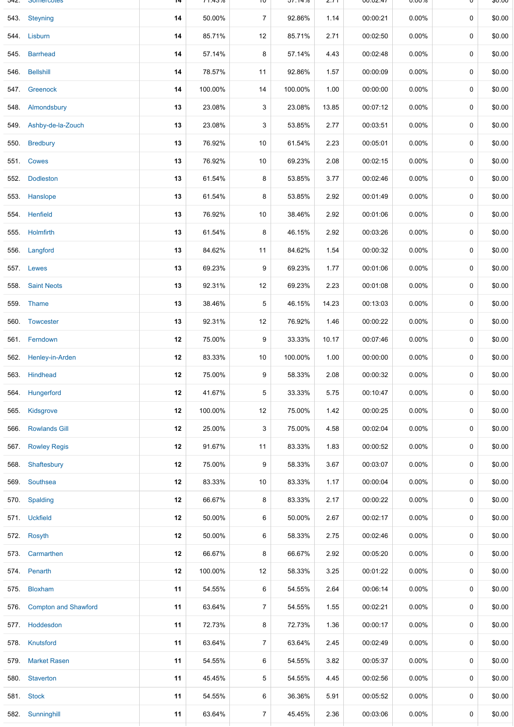| 54Z. | <b>Somercotes</b>           | 14 | $11.43\%$ | ΙU             | 37.14%  | 2.11  | <b>UU.UZ.47</b> | U.UU%    | U           | <b>DU.UQ</b> |
|------|-----------------------------|----|-----------|----------------|---------|-------|-----------------|----------|-------------|--------------|
|      | 543. Steyning               | 14 | 50.00%    | $\overline{7}$ | 92.86%  | 1.14  | 00:00:21        | $0.00\%$ | $\mathbf 0$ | \$0.00       |
| 544. | Lisburn                     | 14 | 85.71%    | 12             | 85.71%  | 2.71  | 00:02:50        | 0.00%    | 0           | \$0.00       |
|      | 545. Barrhead               | 14 | 57.14%    | 8              | 57.14%  | 4.43  | 00:02:48        | 0.00%    | 0           | \$0.00       |
| 546. | <b>Bellshill</b>            | 14 | 78.57%    | 11             | 92.86%  | 1.57  | 00:00:09        | $0.00\%$ | 0           | \$0.00       |
|      | 547. Greenock               | 14 | 100.00%   | 14             | 100.00% | 1.00  | 00:00:00        | $0.00\%$ | $\mathbf 0$ | \$0.00       |
| 548. | Almondsbury                 | 13 | 23.08%    | 3              | 23.08%  | 13.85 | 00:07:12        | $0.00\%$ | 0           | \$0.00       |
|      | 549. Ashby-de-la-Zouch      | 13 | 23.08%    | 3              | 53.85%  | 2.77  | 00:03:51        | 0.00%    | 0           | \$0.00       |
| 550. | <b>Bredbury</b>             | 13 | 76.92%    | 10             | 61.54%  | 2.23  | 00:05:01        | 0.00%    | 0           | \$0.00       |
|      | 551. Cowes                  | 13 | 76.92%    | 10             | 69.23%  | 2.08  | 00:02:15        | 0.00%    | 0           | \$0.00       |
| 552. | <b>Dodleston</b>            | 13 | 61.54%    | 8              | 53.85%  | 3.77  | 00:02:46        | 0.00%    | 0           | \$0.00       |
| 553. | Hanslope                    | 13 | 61.54%    | 8              | 53.85%  | 2.92  | 00:01:49        | $0.00\%$ | 0           | \$0.00       |
|      | 554. Henfield               | 13 | 76.92%    | 10             | 38.46%  | 2.92  | 00:01:06        | 0.00%    | 0           | \$0.00       |
| 555. | Holmfirth                   | 13 | 61.54%    | 8              | 46.15%  | 2.92  | 00:03:26        | 0.00%    | 0           | \$0.00       |
| 556. | Langford                    | 13 | 84.62%    | 11             | 84.62%  | 1.54  | 00:00:32        | 0.00%    | 0           | \$0.00       |
| 557. | Lewes                       | 13 | 69.23%    | 9              | 69.23%  | 1.77  | 00:01:06        | $0.00\%$ | 0           | \$0.00       |
|      | 558. Saint Neots            | 13 | 92.31%    | 12             | 69.23%  | 2.23  | 00:01:08        | 0.00%    | $\mathbf 0$ | \$0.00       |
| 559. | Thame                       | 13 | 38.46%    | $\,$ 5 $\,$    | 46.15%  | 14.23 | 00:13:03        | 0.00%    | 0           | \$0.00       |
|      | 560. Towcester              | 13 | 92.31%    | 12             | 76.92%  | 1.46  | 00:00:22        | 0.00%    | 0           | \$0.00       |
|      | 561. Ferndown               | 12 | 75.00%    | 9              | 33.33%  | 10.17 | 00:07:46        | $0.00\%$ | $\mathbf 0$ | \$0.00       |
| 562. | Henley-in-Arden             | 12 | 83.33%    | $10$           | 100.00% | 1.00  | 00:00:00        | 0.00%    | $\mathbf 0$ | \$0.00       |
| 563. | <b>Hindhead</b>             | 12 | 75.00%    | 9              | 58.33%  | 2.08  | 00:00:32        | $0.00\%$ | 0           | \$0.00       |
| 564. | Hungerford                  | 12 | 41.67%    | 5              | 33.33%  | 5.75  | 00:10:47        | 0.00%    | 0           | \$0.00       |
| 565. | Kidsgrove                   | 12 | 100.00%   | 12             | 75.00%  | 1.42  | 00:00:25        | 0.00%    | 0           | \$0.00       |
| 566. | <b>Rowlands Gill</b>        | 12 | 25.00%    | 3              | 75.00%  | 4.58  | 00:02:04        | 0.00%    | 0           | \$0.00       |
| 567. | <b>Rowley Regis</b>         | 12 | 91.67%    | 11             | 83.33%  | 1.83  | 00:00:52        | 0.00%    | 0           | \$0.00       |
| 568. | Shaftesbury                 | 12 | 75.00%    | 9              | 58.33%  | 3.67  | 00:03:07        | $0.00\%$ | 0           | \$0.00       |
|      | 569. Southsea               | 12 | 83.33%    | 10             | 83.33%  | 1.17  | 00:00:04        | $0.00\%$ | 0           | \$0.00       |
|      | 570. Spalding               | 12 | 66.67%    | 8              | 83.33%  | 2.17  | 00:00:22        | 0.00%    | $\mathbf 0$ | \$0.00       |
|      | 571. Uckfield               | 12 | 50.00%    | 6              | 50.00%  | 2.67  | 00:02:17        | 0.00%    | 0           | \$0.00       |
|      | 572. Rosyth                 | 12 | 50.00%    | 6              | 58.33%  | 2.75  | 00:02:46        | 0.00%    | 0           | \$0.00       |
|      | 573. Carmarthen             | 12 | 66.67%    | 8              | 66.67%  | 2.92  | 00:05:20        | 0.00%    | 0           | \$0.00       |
|      | 574. Penarth                | 12 | 100.00%   | 12             | 58.33%  | 3.25  | 00:01:22        | 0.00%    | 0           | \$0.00       |
| 575. | <b>Bloxham</b>              | 11 | 54.55%    | 6              | 54.55%  | 2.64  | 00:06:14        | 0.00%    | 0           | \$0.00       |
| 576. | <b>Compton and Shawford</b> | 11 | 63.64%    | $\overline{7}$ | 54.55%  | 1.55  | 00:02:21        | 0.00%    | 0           | \$0.00       |
| 577. | Hoddesdon                   | 11 | 72.73%    | 8              | 72.73%  | 1.36  | 00:00:17        | 0.00%    | 0           | \$0.00       |
|      | 578. Knutsford              | 11 | 63.64%    | $\overline{7}$ | 63.64%  | 2.45  | 00:02:49        | $0.00\%$ | 0           | \$0.00       |
| 579. | <b>Market Rasen</b>         | 11 | 54.55%    | 6              | 54.55%  | 3.82  | 00:05:37        | 0.00%    | 0           | \$0.00       |
| 580. | <b>Staverton</b>            | 11 | 45.45%    | $\sqrt{5}$     | 54.55%  | 4.45  | 00:02:56        | 0.00%    | 0           | \$0.00       |
|      | 581. Stock                  | 11 | 54.55%    | 6              | 36.36%  | 5.91  | 00:05:52        | 0.00%    | 0           | \$0.00       |
|      | 582. Sunninghill            | 11 | 63.64%    | $\overline{7}$ | 45.45%  | 2.36  | 00:03:06        | 0.00%    | 0           | \$0.00       |
|      |                             |    |           |                |         |       |                 |          |             |              |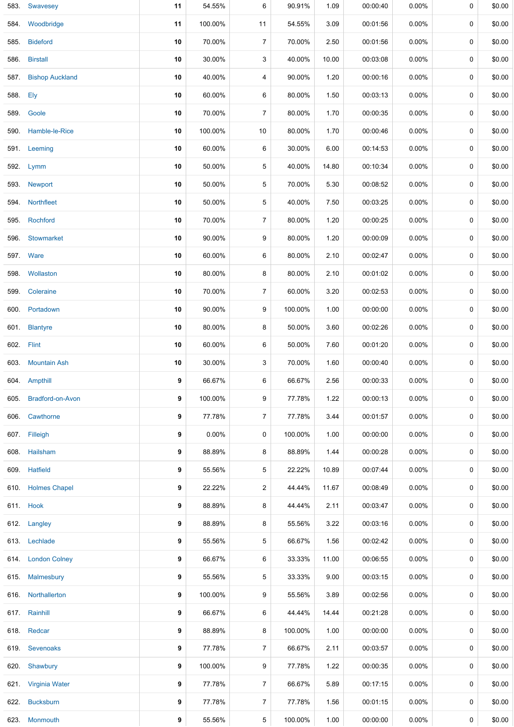|          | 583. Swavesey         | 11 | 54.55%   | 6              | 90.91%  | 1.09  | 00:00:40 | $0.00\%$ | 0 | \$0.00 |
|----------|-----------------------|----|----------|----------------|---------|-------|----------|----------|---|--------|
|          | 584. Woodbridge       | 11 | 100.00%  | 11             | 54.55%  | 3.09  | 00:01:56 | 0.00%    | 0 | \$0.00 |
|          | 585. Bideford         | 10 | 70.00%   | $\overline{7}$ | 70.00%  | 2.50  | 00:01:56 | 0.00%    | 0 | \$0.00 |
|          | 586. Birstall         | 10 | 30.00%   | 3              | 40.00%  | 10.00 | 00:03:08 | 0.00%    | 0 | \$0.00 |
|          | 587. Bishop Auckland  | 10 | 40.00%   | 4              | 90.00%  | 1.20  | 00:00:16 | 0.00%    | 0 | \$0.00 |
| 588. Ely |                       | 10 | 60.00%   | 6              | 80.00%  | 1.50  | 00:03:13 | 0.00%    | 0 | \$0.00 |
|          | 589. Goole            | 10 | 70.00%   | $\overline{7}$ | 80.00%  | 1.70  | 00:00:35 | $0.00\%$ | 0 | \$0.00 |
| 590.     | Hamble-le-Rice        | 10 | 100.00%  | 10             | 80.00%  | 1.70  | 00:00:46 | 0.00%    | 0 | \$0.00 |
|          | 591. Leeming          | 10 | 60.00%   | 6              | 30.00%  | 6.00  | 00:14:53 | $0.00\%$ | 0 | \$0.00 |
|          | 592. Lymm             | 10 | 50.00%   | 5              | 40.00%  | 14.80 | 00:10:34 | 0.00%    | 0 | \$0.00 |
|          | 593. Newport          | 10 | 50.00%   | 5              | 70.00%  | 5.30  | 00:08:52 | 0.00%    | 0 | \$0.00 |
|          | 594. Northfleet       | 10 | 50.00%   | 5              | 40.00%  | 7.50  | 00:03:25 | 0.00%    | 0 | \$0.00 |
|          | 595. Rochford         | 10 | 70.00%   | $\overline{7}$ | 80.00%  | 1.20  | 00:00:25 | 0.00%    | 0 | \$0.00 |
|          | 596. Stowmarket       | 10 | 90.00%   | 9              | 80.00%  | 1.20  | 00:00:09 | $0.00\%$ | 0 | \$0.00 |
|          | <b>597.</b> Ware      | 10 | 60.00%   | 6              | 80.00%  | 2.10  | 00:02:47 | $0.00\%$ | 0 | \$0.00 |
|          | 598. Wollaston        | 10 | 80.00%   | 8              | 80.00%  | 2.10  | 00:01:02 | 0.00%    | 0 | \$0.00 |
| 599.     | Coleraine             | 10 | 70.00%   | $\overline{7}$ | 60.00%  | 3.20  | 00:02:53 | 0.00%    | 0 | \$0.00 |
|          | 600. Portadown        | 10 | 90.00%   | 9              | 100.00% | 1.00  | 00:00:00 | $0.00\%$ | 0 | \$0.00 |
|          | 601. Blantyre         | 10 | 80.00%   | 8              | 50.00%  | 3.60  | 00:02:26 | 0.00%    | 0 | \$0.00 |
|          | 602. Flint            | 10 | 60.00%   | 6              | 50.00%  | 7.60  | 00:01:20 | 0.00%    | 0 | \$0.00 |
|          | 603. Mountain Ash     | 10 | 30.00%   | 3              | 70.00%  | 1.60  | 00:00:40 | 0.00%    | 0 | \$0.00 |
|          | 604 Ampthill          | 9  | 66.67%   | 6              | 66.67%  | 2.56  | 00:00:33 | 0.00%    | 0 | \$0.00 |
|          | 605. Bradford-on-Avon | 9  | 100.00%  | 9              | 77.78%  | 1.22  | 00:00:13 | 0.00%    | 0 | \$0.00 |
|          | 606. Cawthorne        | 9  | 77.78%   | $\overline{7}$ | 77.78%  | 3.44  | 00:01:57 | $0.00\%$ | 0 | \$0.00 |
|          | 607. Filleigh         | 9  | $0.00\%$ | 0              | 100.00% | 1.00  | 00:00:00 | $0.00\%$ | 0 | \$0.00 |
|          | 608. Hailsham         | 9  | 88.89%   | 8              | 88.89%  | 1.44  | 00:00:28 | $0.00\%$ | 0 | \$0.00 |
|          | 609. Hatfield         | 9  | 55.56%   | 5              | 22.22%  | 10.89 | 00:07:44 | $0.00\%$ | 0 | \$0.00 |
|          | 610. Holmes Chapel    | 9  | 22.22%   | $\overline{c}$ | 44.44%  | 11.67 | 00:08:49 | $0.00\%$ | 0 | \$0.00 |
|          | 611. Hook             | 9  | 88.89%   | 8              | 44.44%  | 2.11  | 00:03:47 | 0.00%    | 0 | \$0.00 |
|          | 612. Langley          | 9  | 88.89%   | 8              | 55.56%  | 3.22  | 00:03:16 | 0.00%    | 0 | \$0.00 |
|          | 613. Lechlade         | 9  | 55.56%   | 5              | 66.67%  | 1.56  | 00:02:42 | $0.00\%$ | 0 | \$0.00 |
|          | 614. London Colney    | 9  | 66.67%   | 6              | 33.33%  | 11.00 | 00:06:55 | $0.00\%$ | 0 | \$0.00 |
|          | 615. Malmesbury       | 9  | 55.56%   | 5              | 33.33%  | 9.00  | 00:03:15 | $0.00\%$ | 0 | \$0.00 |
|          | 616. Northallerton    | 9  | 100.00%  | 9              | 55.56%  | 3.89  | 00:02:56 | $0.00\%$ | 0 | \$0.00 |
|          | 617. Rainhill         | 9  | 66.67%   | 6              | 44.44%  | 14.44 | 00:21:28 | $0.00\%$ | 0 | \$0.00 |
|          | 618. Redcar           | 9  | 88.89%   | 8              | 100.00% | 1.00  | 00:00:00 | $0.00\%$ | 0 | \$0.00 |
|          | 619. Sevenoaks        | 9  | 77.78%   | $\overline{7}$ | 66.67%  | 2.11  | 00:03:57 | 0.00%    | 0 | \$0.00 |
|          | 620. Shawbury         | 9  | 100.00%  | 9              | 77.78%  | 1.22  | 00:00:35 | 0.00%    | 0 | \$0.00 |
|          | 621. Virginia Water   | 9  | 77.78%   | $\overline{7}$ | 66.67%  | 5.89  | 00:17:15 | 0.00%    | 0 | \$0.00 |
|          | 622. Bucksburn        | 9  | 77.78%   | $\overline{7}$ | 77.78%  | 1.56  | 00:01:15 | $0.00\%$ | 0 | \$0.00 |
|          | 623 Monmouth          | 9  | 55.56%   | 5              | 100.00% | 1.00  | 00:00:00 | 0.00%    | 0 | \$0.00 |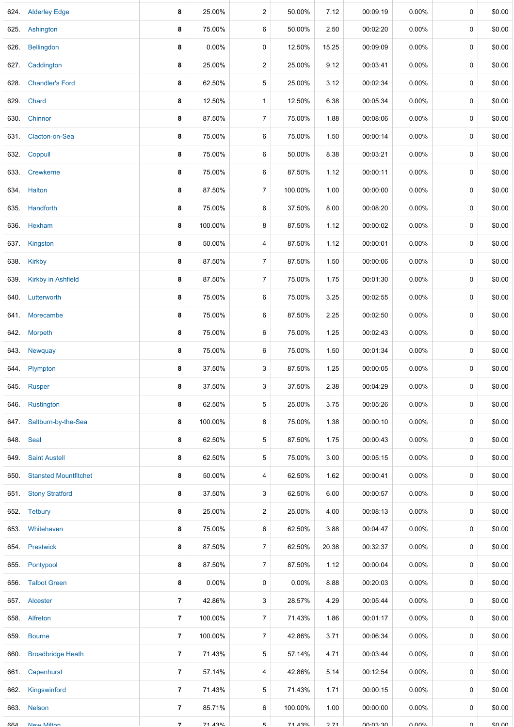|            | 624. Alderley Edge           | 8                        | 25.00%   | $\overline{\mathbf{c}}$ | 50.00%   | 7.12  | 00:09:19               | $0.00\%$ | 0           | \$0.00 |
|------------|------------------------------|--------------------------|----------|-------------------------|----------|-------|------------------------|----------|-------------|--------|
|            | 625. Ashington               | 8                        | 75.00%   | 6                       | 50.00%   | 2.50  | 00:02:20               | 0.00%    | 0           | \$0.00 |
|            | 626. Bellingdon              | 8                        | $0.00\%$ | 0                       | 12.50%   | 15.25 | 00:09:09               | $0.00\%$ | 0           | \$0.00 |
|            | 627. Caddington              | 8                        | 25.00%   | $\overline{c}$          | 25.00%   | 9.12  | 00:03:41               | $0.00\%$ | 0           | \$0.00 |
|            | 628. Chandler's Ford         | 8                        | 62.50%   | 5                       | 25.00%   | 3.12  | 00:02:34               | $0.00\%$ | 0           | \$0.00 |
|            | 629. Chard                   | 8                        | 12.50%   | $\mathbf{1}$            | 12.50%   | 6.38  | 00:05:34               | $0.00\%$ | $\mathbf 0$ | \$0.00 |
|            | 630. Chinnor                 | 8                        | 87.50%   | $\overline{7}$          | 75.00%   | 1.88  | 00:08:06               | $0.00\%$ | 0           | \$0.00 |
|            | 631. Clacton-on-Sea          | 8                        | 75.00%   | 6                       | 75.00%   | 1.50  | 00:00:14               | 0.00%    | 0           | \$0.00 |
|            | 632. Coppull                 | 8                        | 75.00%   | 6                       | 50.00%   | 8.38  | 00:03:21               | $0.00\%$ | 0           | \$0.00 |
|            | 633 Crewkerne                | 8                        | 75.00%   | 6                       | 87.50%   | 1.12  | 00:00:11               | $0.00\%$ | 0           | \$0.00 |
|            | 634. Halton                  | 8                        | 87.50%   | $\overline{7}$          | 100.00%  | 1.00  | 00:00:00               | $0.00\%$ | 0           | \$0.00 |
|            | 635. Handforth               | 8                        | 75.00%   | 6                       | 37.50%   | 8.00  | 00:08:20               | $0.00\%$ | 0           | \$0.00 |
|            | 636. Hexham                  | 8                        | 100.00%  | 8                       | 87.50%   | 1.12  | 00:00:02               | 0.00%    | 0           | \$0.00 |
|            | 637. Kingston                | 8                        | 50.00%   | 4                       | 87.50%   | 1.12  | 00:00:01               | $0.00\%$ | 0           | \$0.00 |
|            | 638. Kirkby                  | 8                        | 87.50%   | $\overline{7}$          | 87.50%   | 1.50  | 00:00:06               | $0.00\%$ | 0           | \$0.00 |
|            | 639. Kirkby in Ashfield      | 8                        | 87.50%   | $\overline{7}$          | 75.00%   | 1.75  | 00:01:30               | $0.00\%$ | 0           | \$0.00 |
|            | 640. Lutterworth             | 8                        | 75.00%   | 6                       | 75.00%   | 3.25  | 00:02:55               | $0.00\%$ | $\mathbf 0$ | \$0.00 |
|            | 641. Morecambe               | 8                        | 75.00%   | 6                       | 87.50%   | 2.25  | 00:02:50               | $0.00\%$ | 0           | \$0.00 |
|            | 642. Morpeth                 | 8                        | 75.00%   | 6                       | 75.00%   | 1.25  | 00:02:43               | 0.00%    | 0           | \$0.00 |
|            | 643 Newquay                  | 8                        | 75.00%   | 6                       | 75.00%   | 1.50  | 00:01:34               | $0.00\%$ | 0           | \$0.00 |
|            | 644. Plympton                | 8                        | 37.50%   | 3                       | 87.50%   | 1.25  | 00:00:05               | 0.00%    | 0           | \$0.00 |
| 645.       | Rusper                       | 8                        | 37.50%   | 3                       | 37.50%   | 2.38  | 00:04:29               | 0.00%    | 0           | \$0.00 |
|            | 646. Rustington              | 8                        | 62.50%   | 5                       | 25.00%   | 3.75  | 00:05:26               | 0.00%    | 0           | \$0.00 |
|            | 647. Saltburn-by-the-Sea     | 8                        | 100.00%  | 8                       | 75.00%   | 1.38  | 00:00:10               | $0.00\%$ | 0           | \$0.00 |
| 648. Seal  |                              | 8                        | 62.50%   | 5                       | 87.50%   | 1.75  | 00:00:43               | 0.00%    | 0           | \$0.00 |
|            | 649 Saint Austell            | 8                        | 62.50%   | 5                       | 75.00%   | 3.00  | 00:05:15               | 0.00%    | $\mathbf 0$ | \$0.00 |
| 650.       | <b>Stansted Mountfitchet</b> | 8                        | 50.00%   | 4                       | 62.50%   | 1.62  | 00:00:41               | $0.00\%$ | 0           | \$0.00 |
|            | 651. Stony Stratford         | 8                        | 37.50%   | 3                       | 62.50%   | 6.00  | 00:00:57               | $0.00\%$ | 0           | \$0.00 |
|            | 652. Tetbury                 | 8                        | 25.00%   | $\overline{2}$          | 25.00%   | 4.00  | 00:08:13               | $0.00\%$ | 0           | \$0.00 |
|            | 653. Whitehaven              | 8                        | 75.00%   | 6                       | 62.50%   | 3.88  | 00:04:47               | 0.00%    | 0           | \$0.00 |
|            | 654. Prestwick               | 8                        | 87.50%   | $\overline{7}$          | 62.50%   | 20.38 | 00:32:37               | $0.00\%$ | 0           | \$0.00 |
|            | 655. Pontypool               | 8                        | 87.50%   | $\overline{7}$          | 87.50%   | 1.12  | 00:00:04               | $0.00\%$ | 0           | \$0.00 |
|            | 656. Talbot Green            | 8                        | 0.00%    | 0                       | 0.00%    | 8.88  | 00:20:03               | $0.00\%$ | $\mathbf 0$ | \$0.00 |
|            | 657. Alcester                | $\overline{7}$           | 42.86%   | 3                       | 28.57%   | 4.29  | 00:05:44               | 0.00%    | 0           | \$0.00 |
|            | 658. Alfreton                | 7                        | 100.00%  | $\overline{7}$          | 71.43%   | 1.86  | 00:01:17               | $0.00\%$ | 0           | \$0.00 |
|            | 659. Bourne                  | $\overline{7}$           | 100.00%  | $\overline{7}$          | 42.86%   | 3.71  | 00:06:34               | $0.00\%$ | 0           | \$0.00 |
|            | 660. Broadbridge Heath       | $\overline{7}$           | 71.43%   | 5                       | 57.14%   | 4.71  | 00:03:44               | $0.00\%$ | 0           | \$0.00 |
| 661.       | Capenhurst                   | 7                        | 57.14%   | $\overline{4}$          | 42.86%   | 5.14  | 00:12:54               | $0.00\%$ | 0           | \$0.00 |
| 662.       | Kingswinford                 | 7                        | 71.43%   | 5                       | 71.43%   | 1.71  | 00:00:15               | $0.00\%$ | 0           | \$0.00 |
|            | 663. Nelson                  | $\overline{7}$           | 85.71%   | 6                       | 100.00%  | 1.00  | 00:00:00               | $0.00\%$ | 0           | \$0.00 |
| <b>GGA</b> | <b>Now Milton</b>            | $\overline{\phantom{a}}$ | 71 120/  | 片                       | 71 1 20% | 271   | $UU \cdot UJ \cdot JU$ | U UUOL   | $\cap$      | en uu  |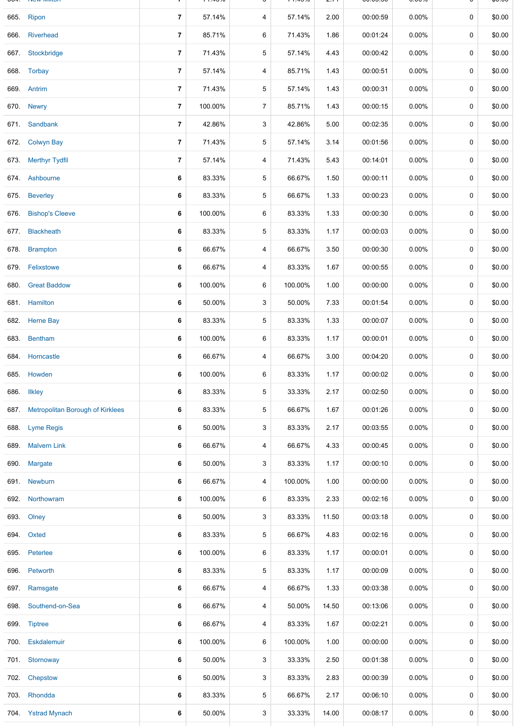|      | <b>INGW IVIIIIOII</b>                   |                | 1.7070  | ັ              |         | 2. I I | 00.00.00 | <b>0.</b> 0070 |   | ψυ.υυ  |
|------|-----------------------------------------|----------------|---------|----------------|---------|--------|----------|----------------|---|--------|
|      | 665. Ripon                              | $\overline{7}$ | 57.14%  | 4              | 57.14%  | 2.00   | 00:00:59 | $0.00\%$       | 0 | \$0.00 |
| 666. | <b>Riverhead</b>                        | $\overline{7}$ | 85.71%  | 6              | 71.43%  | 1.86   | 00:01:24 | 0.00%          | 0 | \$0.00 |
|      | 667. Stockbridge                        | $\overline{7}$ | 71.43%  | 5              | 57.14%  | 4.43   | 00:00:42 | 0.00%          | 0 | \$0.00 |
|      | 668. Torbay                             | $\overline{7}$ | 57.14%  | 4              | 85.71%  | 1.43   | 00:00:51 | 0.00%          | 0 | \$0.00 |
|      | 669. Antrim                             | $\overline{7}$ | 71.43%  | 5              | 57.14%  | 1.43   | 00:00:31 | $0.00\%$       | 0 | \$0.00 |
|      | 670. Newry                              | $\overline{7}$ | 100.00% | $\overline{7}$ | 85.71%  | 1.43   | 00:00:15 | 0.00%          | 0 | \$0.00 |
|      | 671. Sandbank                           | $\overline{7}$ | 42.86%  | 3              | 42.86%  | 5.00   | 00:02:35 | 0.00%          | 0 | \$0.00 |
|      | 672. Colwyn Bay                         | $\overline{7}$ | 71.43%  | 5              | 57.14%  | 3.14   | 00:01:56 | 0.00%          | 0 | \$0.00 |
|      | 673. Merthyr Tydfil                     | $\overline{7}$ | 57.14%  | 4              | 71.43%  | 5.43   | 00:14:01 | $0.00\%$       | 0 | \$0.00 |
|      | 674. Ashbourne                          | 6              | 83.33%  | 5              | 66.67%  | 1.50   | 00:00:11 | $0.00\%$       | 0 | \$0.00 |
|      | 675. Beverley                           | 6              | 83.33%  | 5              | 66.67%  | 1.33   | 00:00:23 | 0.00%          | 0 | \$0.00 |
|      | 676. Bishop's Cleeve                    | 6              | 100.00% | 6              | 83.33%  | 1.33   | 00:00:30 | 0.00%          | 0 | \$0.00 |
| 677. | <b>Blackheath</b>                       | 6              | 83.33%  | 5              | 83.33%  | 1.17   | 00:00:03 | 0.00%          | 0 | \$0.00 |
| 678. | <b>Brampton</b>                         | 6              | 66.67%  | 4              | 66.67%  | 3.50   | 00:00:30 | 0.00%          | 0 | \$0.00 |
|      | 679. Felixstowe                         | 6              | 66.67%  | 4              | 83.33%  | 1.67   | 00:00:55 | $0.00\%$       | 0 | \$0.00 |
|      | 680. Great Baddow                       | 6              | 100.00% | 6              | 100.00% | 1.00   | 00:00:00 | 0.00%          | 0 | \$0.00 |
|      | 681. Hamilton                           | 6              | 50.00%  | 3              | 50.00%  | 7.33   | 00:01:54 | $0.00\%$       | 0 | \$0.00 |
|      | 682. Herne Bay                          | 6              | 83.33%  | 5              | 83.33%  | 1.33   | 00:00:07 | $0.00\%$       | 0 | \$0.00 |
|      | 683. Bentham                            | 6              | 100.00% | 6              | 83.33%  | 1.17   | 00:00:01 | $0.00\%$       | 0 | \$0.00 |
|      | 684. Horncastle                         | 6              | 66.67%  | 4              | 66.67%  | 3.00   | 00:04:20 | 0.00%          | 0 | \$0.00 |
|      | 685. Howden                             | 6              | 100.00% | 6              | 83.33%  | 1.17   | 00:00:02 | 0.00%          | 0 | \$0.00 |
| 686. | <b>Ilkley</b>                           | 6              | 83.33%  | 5              | 33.33%  | 2.17   | 00:02:50 | $0.00\%$       | 0 | \$0.00 |
| 687. | <b>Metropolitan Borough of Kirklees</b> | 6              | 83.33%  | 5              | 66.67%  | 1.67   | 00:01:26 | $0.00\%$       | 0 | \$0.00 |
| 688. | <b>Lyme Regis</b>                       | 6              | 50.00%  | 3              | 83.33%  | 2.17   | 00:03:55 | $0.00\%$       | 0 | \$0.00 |
| 689. | <b>Malvern Link</b>                     | 6              | 66.67%  | 4              | 66.67%  | 4.33   | 00:00:45 | $0.00\%$       | 0 | \$0.00 |
| 690. | Margate                                 | 6              | 50.00%  | 3              | 83.33%  | 1.17   | 00:00:10 | $0.00\%$       | 0 | \$0.00 |
|      | 691. Newburn                            | 6              | 66.67%  | 4              | 100.00% | 1.00   | 00:00:00 | $0.00\%$       | 0 | \$0.00 |
|      | 692 Northowram                          | 6              | 100.00% | 6              | 83.33%  | 2.33   | 00:02:16 | $0.00\%$       | 0 | \$0.00 |
| 693. | Olney                                   | 6              | 50.00%  | 3              | 83.33%  | 11.50  | 00:03:18 | $0.00\%$       | 0 | \$0.00 |
|      | 694. Oxted                              | 6              | 83.33%  | 5              | 66.67%  | 4.83   | 00:02:16 | $0.00\%$       | 0 | \$0.00 |
| 695. | Peterlee                                | 6              | 100.00% | 6              | 83.33%  | 1.17   | 00:00:01 | $0.00\%$       | 0 | \$0.00 |
| 696. | Petworth                                | 6              | 83.33%  | 5              | 83.33%  | 1.17   | 00:00:09 | $0.00\%$       | 0 | \$0.00 |
| 697. | Ramsgate                                | 6              | 66.67%  | 4              | 66.67%  | 1.33   | 00:03:38 | $0.00\%$       | 0 | \$0.00 |
| 698. | Southend-on-Sea                         | 6              | 66.67%  | 4              | 50.00%  | 14.50  | 00:13:06 | $0.00\%$       | 0 | \$0.00 |
| 699. | <b>Tiptree</b>                          | 6              | 66.67%  | 4              | 83.33%  | 1.67   | 00:02:21 | $0.00\%$       | 0 | \$0.00 |
| 700. | Eskdalemuir                             | 6              | 100.00% | 6              | 100.00% | 1.00   | 00:00:00 | $0.00\%$       | 0 | \$0.00 |
|      | 701. Stornoway                          | 6              | 50.00%  | 3              | 33.33%  | 2.50   | 00:01:38 | $0.00\%$       | 0 | \$0.00 |
| 702. | Chepstow                                | 6              | 50.00%  | 3              | 83.33%  | 2.83   | 00:00:39 | $0.00\%$       | 0 | \$0.00 |
|      | 703. Rhondda                            | 6              | 83.33%  | 5              | 66.67%  | 2.17   | 00:06:10 | $0.00\%$       | 0 | \$0.00 |
|      | 704. Ystrad Mynach                      | 6              | 50.00%  | 3              | 33.33%  | 14.00  | 00:08:17 | 0.00%          | 0 | \$0.00 |
|      |                                         |                |         |                |         |        |          |                |   |        |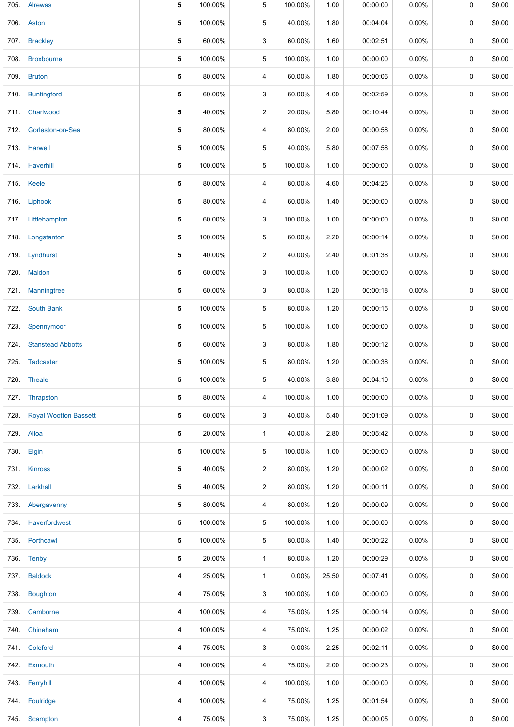|      | 705. Alrewas                 | 5 | 100.00% | 5              | 100.00%  | 1.00  | 00:00:00 | 0.00%    | 0           | \$0.00 |
|------|------------------------------|---|---------|----------------|----------|-------|----------|----------|-------------|--------|
|      | 706. Aston                   | 5 | 100.00% | 5              | 40.00%   | 1.80  | 00:04:04 | 0.00%    | 0           | \$0.00 |
|      | 707. Brackley                | 5 | 60.00%  | 3              | 60.00%   | 1.60  | 00:02:51 | $0.00\%$ | 0           | \$0.00 |
|      | 708. Broxbourne              | 5 | 100.00% | 5              | 100.00%  | 1.00  | 00:00:00 | $0.00\%$ | 0           | \$0.00 |
| 709. | <b>Bruton</b>                | 5 | 80.00%  | 4              | 60.00%   | 1.80  | 00:00:06 | $0.00\%$ | 0           | \$0.00 |
| 710. | <b>Buntingford</b>           | 5 | 60.00%  | 3              | 60.00%   | 4.00  | 00:02:59 | $0.00\%$ | 0           | \$0.00 |
|      | 711. Charlwood               | 5 | 40.00%  | $\overline{a}$ | 20.00%   | 5.80  | 00:10:44 | $0.00\%$ | 0           | \$0.00 |
|      | 712. Gorleston-on-Sea        | 5 | 80.00%  | 4              | 80.00%   | 2.00  | 00:00:58 | $0.00\%$ | 0           | \$0.00 |
|      | 713. Harwell                 | 5 | 100.00% | 5              | 40.00%   | 5.80  | 00:07:58 | 0.00%    | $\mathbf 0$ | \$0.00 |
|      | 714. Haverhill               | 5 | 100.00% | 5              | 100.00%  | 1.00  | 00:00:00 | $0.00\%$ | 0           | \$0.00 |
|      | 715. Keele                   | 5 | 80.00%  | 4              | 80.00%   | 4.60  | 00:04:25 | 0.00%    | 0           | \$0.00 |
|      | 716. Liphook                 | 5 | 80.00%  | 4              | 60.00%   | 1.40  | 00:00:00 | $0.00\%$ | 0           | \$0.00 |
|      | 717. Littlehampton           | 5 | 60.00%  | 3              | 100.00%  | 1.00  | 00:00:00 | $0.00\%$ | 0           | \$0.00 |
|      | 718. Longstanton             | 5 | 100.00% | 5              | 60.00%   | 2.20  | 00:00:14 | $0.00\%$ | 0           | \$0.00 |
|      | 719. Lyndhurst               | 5 | 40.00%  | $\overline{a}$ | 40.00%   | 2.40  | 00:01:38 | $0.00\%$ | 0           | \$0.00 |
|      | 720. Maldon                  | 5 | 60.00%  | 3              | 100.00%  | 1.00  | 00:00:00 | 0.00%    | 0           | \$0.00 |
| 721. | <b>Manningtree</b>           | 5 | 60.00%  | 3              | 80.00%   | 1.20  | 00:00:18 | $0.00\%$ | 0           | \$0.00 |
|      | 722. South Bank              | 5 | 100.00% | 5              | 80.00%   | 1.20  | 00:00:15 | $0.00\%$ | 0           | \$0.00 |
|      | 723. Spennymoor              | 5 | 100.00% | 5              | 100.00%  | 1.00  | 00:00:00 | 0.00%    | 0           | \$0.00 |
|      | 724. Stanstead Abbotts       | 5 | 60.00%  | 3              | 80.00%   | 1.80  | 00:00:12 | $0.00\%$ | 0           | \$0.00 |
|      | 725. Tadcaster               | 5 | 100.00% | 5              | 80.00%   | 1.20  | 00:00:38 | $0.00\%$ | 0           | \$0.00 |
|      | 726. Theale                  | 5 | 100.00% | 5              | 40.00%   | 3.80  | 00:04:10 | $0.00\%$ | 0           | \$0.00 |
|      | 727. Thrapston               | 5 | 80.00%  | 4              | 100.00%  | 1.00  | 00:00:00 | $0.00\%$ | 0           | \$0.00 |
| 728. | <b>Royal Wootton Bassett</b> | 5 | 60.00%  | 3              | 40.00%   | 5.40  | 00:01:09 | $0.00\%$ | 0           | \$0.00 |
|      | 729. Alloa                   | 5 | 20.00%  | 1              | 40.00%   | 2.80  | 00:05:42 | $0.00\%$ | 0           | \$0.00 |
|      | 730. Elgin                   | 5 | 100.00% | 5              | 100.00%  | 1.00  | 00:00:00 | $0.00\%$ | 0           | \$0.00 |
|      | 731. Kinross                 | 5 | 40.00%  | 2              | 80.00%   | 1.20  | 00:00:02 | 0.00%    | 0           | \$0.00 |
|      | 732. Larkhall                | 5 | 40.00%  | $\overline{c}$ | 80.00%   | 1.20  | 00:00:11 | $0.00\%$ | 0           | \$0.00 |
| 733. | Abergavenny                  | 5 | 80.00%  | 4              | 80.00%   | 1.20  | 00:00:09 | 0.00%    | 0           | \$0.00 |
|      | 734 Haverfordwest            | 5 | 100.00% | 5              | 100.00%  | 1.00  | 00:00:00 | $0.00\%$ | 0           | \$0.00 |
|      | 735. Porthcawl               | 5 | 100.00% | 5              | 80.00%   | 1.40  | 00:00:22 | $0.00\%$ | 0           | \$0.00 |
|      | 736. Tenby                   | 5 | 20.00%  | 1              | 80.00%   | 1.20  | 00:00:29 | $0.00\%$ | 0           | \$0.00 |
|      | 737. Baldock                 | 4 | 25.00%  | 1              | $0.00\%$ | 25.50 | 00:07:41 | $0.00\%$ | 0           | \$0.00 |
| 738. | Boughton                     | 4 | 75.00%  | 3              | 100.00%  | 1.00  | 00:00:00 | $0.00\%$ | 0           | \$0.00 |
|      | 739. Camborne                | 4 | 100.00% | 4              | 75.00%   | 1.25  | 00:00:14 | $0.00\%$ | 0           | \$0.00 |
| 740. | Chineham                     | 4 | 100.00% | 4              | 75.00%   | 1.25  | 00:00:02 | $0.00\%$ | 0           | \$0.00 |
|      | 741. Coleford                | 4 | 75.00%  | 3              | 0.00%    | 2.25  | 00:02:11 | $0.00\%$ | 0           | \$0.00 |
|      | 742. Exmouth                 | 4 | 100.00% | 4              | 75.00%   | 2.00  | 00:00:23 | $0.00\%$ | 0           | \$0.00 |
|      | 743. Ferryhill               | 4 | 100.00% | 4              | 100.00%  | 1.00  | 00:00:00 | $0.00\%$ | 0           | \$0.00 |
|      | 744 Foulridge                | 4 | 100.00% | 4              | 75.00%   | 1.25  | 00:01:54 | $0.00\%$ | 0           | \$0.00 |
|      | 745. Scampton                | 4 | 75.00%  | 3              | 75.00%   | 1.25  | 00:00:05 | $0.00\%$ | 0           | \$0.00 |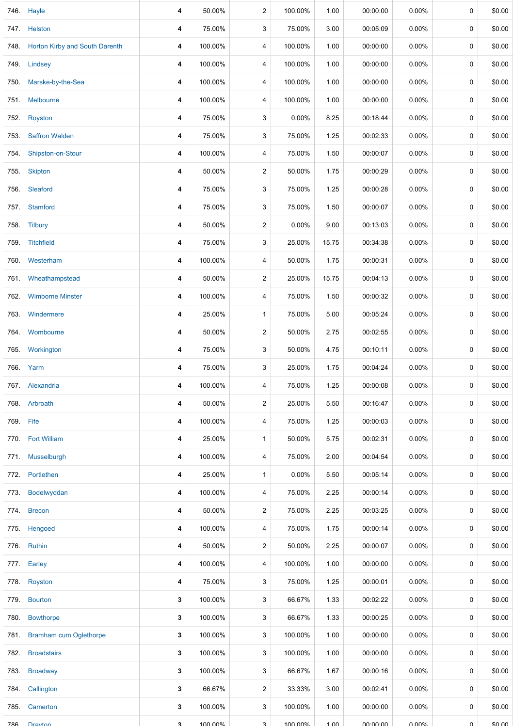|           | 746. Hayle                          | 4            | 50.00%  | $\overline{c}$ | 100.00%  | 1.00  | 00:00:00 | $0.00\%$ | 0           | \$0.00 |
|-----------|-------------------------------------|--------------|---------|----------------|----------|-------|----------|----------|-------------|--------|
|           | 747. Helston                        | 4            | 75.00%  | 3              | 75.00%   | 3.00  | 00:05:09 | 0.00%    | $\mathbf 0$ | \$0.00 |
|           | 748. Horton Kirby and South Darenth | 4            | 100.00% | 4              | 100.00%  | 1.00  | 00:00:00 | 0.00%    | 0           | \$0.00 |
|           | 749. Lindsey                        | 4            | 100.00% | 4              | 100.00%  | 1.00  | 00:00:00 | $0.00\%$ | $\mathbf 0$ | \$0.00 |
|           | 750. Marske-by-the-Sea              | 4            | 100.00% | 4              | 100.00%  | 1.00  | 00:00:00 | $0.00\%$ | 0           | \$0.00 |
|           | 751 Melbourne                       | 4            | 100.00% | 4              | 100.00%  | 1.00  | 00:00:00 | $0.00\%$ | 0           | \$0.00 |
| 752.      | Royston                             | 4            | 75.00%  | 3              | $0.00\%$ | 8.25  | 00:18:44 | 0.00%    | 0           | \$0.00 |
| 753.      | <b>Saffron Walden</b>               | 4            | 75.00%  | 3              | 75.00%   | 1.25  | 00:02:33 | $0.00\%$ | 0           | \$0.00 |
| 754.      | Shipston-on-Stour                   | 4            | 100.00% | 4              | 75.00%   | 1.50  | 00:00:07 | 0.00%    | 0           | \$0.00 |
|           | 755. Skipton                        | 4            | 50.00%  | $\overline{c}$ | 50.00%   | 1.75  | 00:00:29 | 0.00%    | 0           | \$0.00 |
| 756.      | Sleaford                            | 4            | 75.00%  | 3              | 75.00%   | 1.25  | 00:00:28 | 0.00%    | $\mathbf 0$ | \$0.00 |
|           | 757. Stamford                       | 4            | 75.00%  | 3              | 75.00%   | 1.50  | 00:00:07 | 0.00%    | 0           | \$0.00 |
|           | 758. Tilbury                        | 4            | 50.00%  | 2              | 0.00%    | 9.00  | 00:13:03 | $0.00\%$ | $\mathbf 0$ | \$0.00 |
| 759.      | <b>Titchfield</b>                   | 4            | 75.00%  | 3              | 25.00%   | 15.75 | 00:34:38 | $0.00\%$ | 0           | \$0.00 |
|           | 760. Westerham                      | 4            | 100.00% | 4              | 50.00%   | 1.75  | 00:00:31 | $0.00\%$ | 0           | \$0.00 |
| 761.      | Wheathampstead                      | 4            | 50.00%  | $\overline{c}$ | 25.00%   | 15.75 | 00:04:13 | 0.00%    | 0           | \$0.00 |
|           | 762. Wimborne Minster               | 4            | 100.00% | 4              | 75.00%   | 1.50  | 00:00:32 | 0.00%    | 0           | \$0.00 |
| 763.      | Windermere                          | 4            | 25.00%  | 1              | 75.00%   | 5.00  | 00:05:24 | $0.00\%$ | 0           | \$0.00 |
|           | 764 Wombourne                       | 4            | 50.00%  | $\overline{2}$ | 50.00%   | 2.75  | 00:02:55 | 0.00%    | 0           | \$0.00 |
|           | 765. Workington                     | 4            | 75.00%  | 3              | 50.00%   | 4.75  | 00:10:11 | 0.00%    | $\mathbf 0$ | \$0.00 |
|           | 766. Yarm                           | 4            | 75.00%  | 3              | 25.00%   | 1.75  | 00:04:24 | 0.00%    | 0           | \$0.00 |
|           | 767. Alexandria                     | 4            | 100.00% | 4              | 75.00%   | 1.25  | 00:00:08 | $0.00\%$ | 0           | \$0.00 |
|           | 768. Arbroath                       | 4            | 50.00%  | $\overline{2}$ | 25.00%   | 5.50  | 00:16:47 | $0.00\%$ | 0           | \$0.00 |
| 769. Fife |                                     | 4            | 100.00% | 4              | 75.00%   | 1.25  | 00:00:03 | $0.00\%$ | 0           | \$0.00 |
|           | 770. Fort William                   | 4            | 25.00%  | 1              | 50.00%   | 5.75  | 00:02:31 | $0.00\%$ | 0           | \$0.00 |
| 771.      | Musselburgh                         | 4            | 100.00% | 4              | 75.00%   | 2.00  | 00:04:54 | $0.00\%$ | 0           | \$0.00 |
| 772.      | Portlethen                          | 4            | 25.00%  | 1              | $0.00\%$ | 5.50  | 00:05:14 | $0.00\%$ | 0           | \$0.00 |
| 773.      | Bodelwyddan                         | 4            | 100.00% | 4              | 75.00%   | 2.25  | 00:00:14 | $0.00\%$ | 0           | \$0.00 |
|           | 774. Brecon                         | 4            | 50.00%  | 2              | 75.00%   | 2.25  | 00:03:25 | 0.00%    | $\mathbf 0$ | \$0.00 |
|           | 775. Hengoed                        | 4            | 100.00% | 4              | 75.00%   | 1.75  | 00:00:14 | 0.00%    | 0           | \$0.00 |
|           | 776. Ruthin                         | 4            | 50.00%  | 2              | 50.00%   | 2.25  | 00:00:07 | 0.00%    | 0           | \$0.00 |
| 777.      | Earley                              | 4            | 100.00% | 4              | 100.00%  | 1.00  | 00:00:00 | $0.00\%$ | 0           | \$0.00 |
|           | 778. Royston                        | 4            | 75.00%  | 3              | 75.00%   | 1.25  | 00:00:01 | $0.00\%$ | 0           | \$0.00 |
| 779.      | <b>Bourton</b>                      | 3            | 100.00% | 3              | 66.67%   | 1.33  | 00:02:22 | $0.00\%$ | 0           | \$0.00 |
| 780.      | <b>Bowthorpe</b>                    | 3            | 100.00% | 3              | 66.67%   | 1.33  | 00:00:25 | $0.00\%$ | 0           | \$0.00 |
|           | 781. Bramham cum Oglethorpe         | 3            | 100.00% | 3              | 100.00%  | 1.00  | 00:00:00 | $0.00\%$ | 0           | \$0.00 |
|           | 782. Broadstairs                    | 3            | 100.00% | 3              | 100.00%  | 1.00  | 00:00:00 | $0.00\%$ | 0           | \$0.00 |
| 783.      | <b>Broadway</b>                     | 3            | 100.00% | 3              | 66.67%   | 1.67  | 00:00:16 | 0.00%    | 0           | \$0.00 |
| 784.      | Callington                          | 3            | 66.67%  | $\overline{c}$ | 33.33%   | 3.00  | 00:02:41 | $0.00\%$ | 0           | \$0.00 |
|           | 785. Camerton                       | 3            | 100.00% | 3              | 100.00%  | 1.00  | 00:00:00 | $0.00\%$ | 0           | \$0.00 |
| 786       | Drayton                             | $\mathbf{R}$ | 100 00% | $\mathcal{R}$  | 1በበ በበ%  | 1 በበ  | UU-UU-UU | ሀ ሀሀል"   | $\Omega$    | ደሀ ሀሀ  |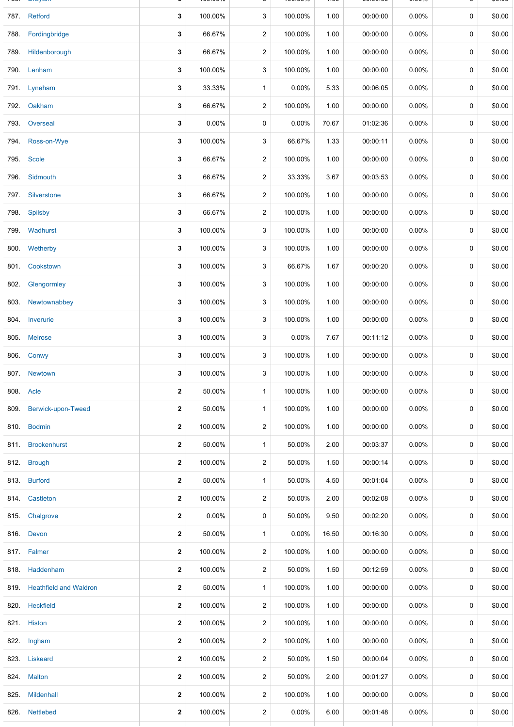|      | 787. Retford                | 3                       | 100.00% | 3              | 100.00%  | 1.00  | 00:00:00 | 0.00%    | 0           | \$0.00 |
|------|-----------------------------|-------------------------|---------|----------------|----------|-------|----------|----------|-------------|--------|
|      | 788. Fordingbridge          | 3                       | 66.67%  | $\overline{2}$ | 100.00%  | 1.00  | 00:00:00 | $0.00\%$ | 0           | \$0.00 |
|      | 789. Hildenborough          | 3                       | 66.67%  | 2              | 100.00%  | 1.00  | 00:00:00 | $0.00\%$ | 0           | \$0.00 |
| 790. | Lenham                      | 3                       | 100.00% | 3              | 100.00%  | 1.00  | 00:00:00 | 0.00%    | 0           | \$0.00 |
|      | 791. Lyneham                | 3                       | 33.33%  | 1              | 0.00%    | 5.33  | 00:06:05 | $0.00\%$ | 0           | \$0.00 |
|      | 792. Oakham                 | 3                       | 66.67%  | $\overline{c}$ | 100.00%  | 1.00  | 00:00:00 | 0.00%    | 0           | \$0.00 |
|      | 793. Overseal               | 3                       | 0.00%   | 0              | 0.00%    | 70.67 | 01:02:36 | 0.00%    | 0           | \$0.00 |
|      | 794. Ross-on-Wye            | 3                       | 100.00% | 3              | 66.67%   | 1.33  | 00:00:11 | 0.00%    | 0           | \$0.00 |
|      | 795. Scole                  | 3                       | 66.67%  | $\overline{c}$ | 100.00%  | 1.00  | 00:00:00 | 0.00%    | 0           | \$0.00 |
|      | 796. Sidmouth               | 3                       | 66.67%  | 2              | 33.33%   | 3.67  | 00:03:53 | 0.00%    | 0           | \$0.00 |
|      | 797. Silverstone            | 3                       | 66.67%  | $\overline{2}$ | 100.00%  | 1.00  | 00:00:00 | $0.00\%$ | 0           | \$0.00 |
|      | 798. Spilsby                | 3                       | 66.67%  | 2              | 100.00%  | 1.00  | 00:00:00 | $0.00\%$ | 0           | \$0.00 |
|      | 799. Wadhurst               | 3                       | 100.00% | 3              | 100.00%  | 1.00  | 00:00:00 | 0.00%    | 0           | \$0.00 |
|      | 800. Wetherby               | 3                       | 100.00% | 3              | 100.00%  | 1.00  | 00:00:00 | $0.00\%$ | 0           | \$0.00 |
| 801. | Cookstown                   | 3                       | 100.00% | 3              | 66.67%   | 1.67  | 00:00:20 | 0.00%    | 0           | \$0.00 |
| 802. | Glengormley                 | 3                       | 100.00% | 3              | 100.00%  | 1.00  | 00:00:00 | 0.00%    | 0           | \$0.00 |
|      | 803. Newtownabbey           | 3                       | 100.00% | 3              | 100.00%  | 1.00  | 00:00:00 | 0.00%    | 0           | \$0.00 |
|      | 804. Inverurie              | 3                       | 100.00% | 3              | 100.00%  | 1.00  | 00:00:00 | 0.00%    | 0           | \$0.00 |
|      | 805. Melrose                | 3                       | 100.00% | 3              | 0.00%    | 7.67  | 00:11:12 | 0.00%    | $\mathbf 0$ | \$0.00 |
|      | 806. Conwy                  | 3                       | 100.00% | 3              | 100.00%  | 1.00  | 00:00:00 | $0.00\%$ | 0           | \$0.00 |
|      | 807. Newtown                | 3                       | 100.00% | 3              | 100.00%  | 1.00  | 00:00:00 | 0.00%    | 0           | \$0.00 |
|      | 808. Acle                   | $\mathbf{2}$            | 50.00%  | $\mathbf{1}$   | 100.00%  | 1.00  | 00:00:00 | $0.00\%$ | 0           | \$0.00 |
|      | 809. Berwick-upon-Tweed     | $\mathbf{2}$            | 50.00%  | $\mathbf{1}$   | 100.00%  | 1.00  | 00:00:00 | $0.00\%$ | 0           | \$0.00 |
|      | 810. Bodmin                 | $\mathbf{2}$            | 100.00% | $\overline{2}$ | 100.00%  | 1.00  | 00:00:00 | $0.00\%$ | 0           | \$0.00 |
|      | 811. Brockenhurst           | $\mathbf{2}$            | 50.00%  | $\mathbf{1}$   | 50.00%   | 2.00  | 00:03:37 | $0.00\%$ | 0           | \$0.00 |
|      | 812. Brough                 | $\mathbf{2}$            | 100.00% | $\overline{a}$ | 50.00%   | 1.50  | 00:00:14 | 0.00%    | 0           | \$0.00 |
|      | 813. Burford                | $\mathbf{2}$            | 50.00%  | $\mathbf{1}$   | 50.00%   | 4.50  | 00:01:04 | 0.00%    | 0           | \$0.00 |
|      | 814 Castleton               | $\mathbf{2}$            | 100.00% | $\overline{2}$ | 50.00%   | 2.00  | 00:02:08 | $0.00\%$ | $\mathbf 0$ | \$0.00 |
|      | 815. Chalgrove              | $\mathbf{2}$            | 0.00%   | 0              | 50.00%   | 9.50  | 00:02:20 | $0.00\%$ | 0           | \$0.00 |
|      | 816. Devon                  | $\mathbf{2}$            | 50.00%  | 1              | 0.00%    | 16.50 | 00:16:30 | $0.00\%$ | 0           | \$0.00 |
|      | 817. Falmer                 | $\mathbf{2}$            | 100.00% | $\overline{a}$ | 100.00%  | 1.00  | 00:00:00 | $0.00\%$ | 0           | \$0.00 |
|      | 818 Haddenham               | $\mathbf{2}$            | 100.00% | 2              | 50.00%   | 1.50  | 00:12:59 | $0.00\%$ | 0           | \$0.00 |
|      | 819. Heathfield and Waldron | $\mathbf{2}$            | 50.00%  | $\mathbf{1}$   | 100.00%  | 1.00  | 00:00:00 | $0.00\%$ | 0           | \$0.00 |
|      | 820. Heckfield              | $\mathbf{2}$            | 100.00% | 2              | 100.00%  | 1.00  | 00:00:00 | $0.00\%$ | 0           | \$0.00 |
|      | 821. Histon                 | $\overline{\mathbf{2}}$ | 100.00% | $\overline{c}$ | 100.00%  | 1.00  | 00:00:00 | 0.00%    | 0           | \$0.00 |
|      | 822. Ingham                 | $\mathbf{2}$            | 100.00% | $\overline{a}$ | 100.00%  | 1.00  | 00:00:00 | $0.00\%$ | 0           | \$0.00 |
|      | 823. Liskeard               | $\mathbf{2}$            | 100.00% | $\overline{c}$ | 50.00%   | 1.50  | 00:00:04 | $0.00\%$ | 0           | \$0.00 |
|      | 824. Malton                 | $\mathbf{2}$            | 100.00% | $\overline{c}$ | 50.00%   | 2.00  | 00:01:27 | $0.00\%$ | 0           | \$0.00 |
|      | 825. Mildenhall             | $\mathbf{2}$            | 100.00% | $\overline{2}$ | 100.00%  | 1.00  | 00:00:00 | $0.00\%$ | 0           | \$0.00 |
|      | 826. Nettlebed              | $\mathbf{2}$            | 100.00% | $\overline{a}$ | $0.00\%$ | 6.00  | 00:01:48 | $0.00\%$ | 0           | \$0.00 |
|      |                             |                         |         |                |          |       |          |          |             |        |

786. Drayton **3** 100.00% 3 100.00% 1.00 00:00:00 0.00% 0 \$0.00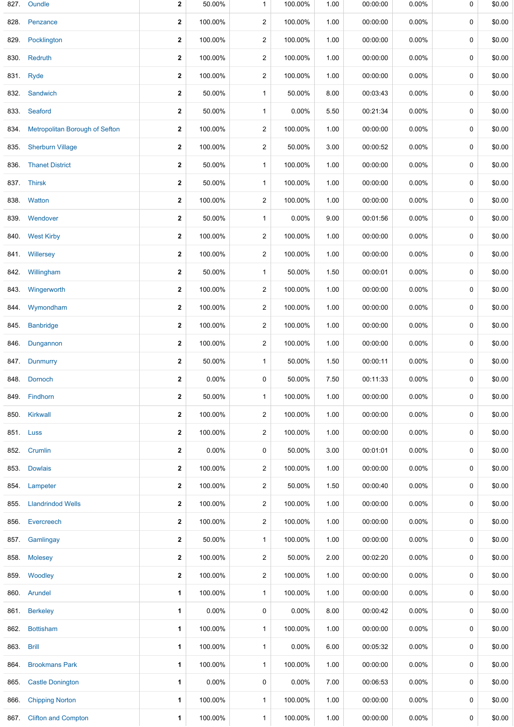| 827. | Oundle                                | $\mathbf{2}$ | 50.00%   | $\mathbf{1}$            | 100.00%  | 1.00 | 00:00:00 | 0.00%    | 0 | \$0.00 |
|------|---------------------------------------|--------------|----------|-------------------------|----------|------|----------|----------|---|--------|
| 828. | Penzance                              | $\mathbf{2}$ | 100.00%  | $\overline{\mathbf{c}}$ | 100.00%  | 1.00 | 00:00:00 | 0.00%    | 0 | \$0.00 |
| 829. | Pocklington                           | $\mathbf{2}$ | 100.00%  | $\overline{c}$          | 100.00%  | 1.00 | 00:00:00 | 0.00%    | 0 | \$0.00 |
| 830. | Redruth                               | $\mathbf{2}$ | 100.00%  | 2                       | 100.00%  | 1.00 | 00:00:00 | 0.00%    | 0 | \$0.00 |
| 831. | Ryde                                  | $\mathbf 2$  | 100.00%  | $\mathbf 2$             | 100.00%  | 1.00 | 00:00:00 | 0.00%    | 0 | \$0.00 |
|      | 832. Sandwich                         | $\mathbf{2}$ | 50.00%   | $\mathbf{1}$            | 50.00%   | 8.00 | 00:03:43 | 0.00%    | 0 | \$0.00 |
|      | 833 Seaford                           | $\mathbf{2}$ | 50.00%   | 1                       | 0.00%    | 5.50 | 00:21:34 | 0.00%    | 0 | \$0.00 |
| 834. | <b>Metropolitan Borough of Sefton</b> | $\mathbf{2}$ | 100.00%  | $\overline{c}$          | 100.00%  | 1.00 | 00:00:00 | 0.00%    | 0 | \$0.00 |
| 835. | <b>Sherburn Village</b>               | $\mathbf{2}$ | 100.00%  | 2                       | 50.00%   | 3.00 | 00:00:52 | 0.00%    | 0 | \$0.00 |
| 836. | <b>Thanet District</b>                | $\mathbf{2}$ | 50.00%   | $\mathbf{1}$            | 100.00%  | 1.00 | 00:00:00 | 0.00%    | 0 | \$0.00 |
|      | 837. Thirsk                           | $\mathbf{2}$ | 50.00%   | $\mathbf{1}$            | 100.00%  | 1.00 | 00:00:00 | 0.00%    | 0 | \$0.00 |
| 838. | Watton                                | $\mathbf{2}$ | 100.00%  | $\overline{c}$          | 100.00%  | 1.00 | 00:00:00 | 0.00%    | 0 | \$0.00 |
| 839. | Wendover                              | $\mathbf{2}$ | 50.00%   | 1                       | 0.00%    | 9.00 | 00:01:56 | 0.00%    | 0 | \$0.00 |
|      | 840. West Kirby                       | $\mathbf{2}$ | 100.00%  | $\overline{\mathbf{c}}$ | 100.00%  | 1.00 | 00:00:00 | 0.00%    | 0 | \$0.00 |
|      | 841. Willersey                        | $\mathbf{2}$ | 100.00%  | $\overline{\mathbf{c}}$ | 100.00%  | 1.00 | 00:00:00 | 0.00%    | 0 | \$0.00 |
| 842. | Willingham                            | $\mathbf{2}$ | 50.00%   | $\mathbf{1}$            | 50.00%   | 1.50 | 00:00:01 | 0.00%    | 0 | \$0.00 |
| 843. | Wingerworth                           | $\mathbf{2}$ | 100.00%  | $\overline{c}$          | 100.00%  | 1.00 | 00:00:00 | 0.00%    | 0 | \$0.00 |
|      | 844. Wymondham                        | $\mathbf{2}$ | 100.00%  | 2                       | 100.00%  | 1.00 | 00:00:00 | 0.00%    | 0 | \$0.00 |
| 845. | <b>Banbridge</b>                      | $\mathbf{2}$ | 100.00%  | $\overline{c}$          | 100.00%  | 1.00 | 00:00:00 | 0.00%    | 0 | \$0.00 |
| 846. | Dungannon                             | $\mathbf{2}$ | 100.00%  | $\overline{c}$          | 100.00%  | 1.00 | 00:00:00 | 0.00%    | 0 | \$0.00 |
| 847. | Dunmurry                              | $\mathbf{2}$ | 50.00%   | $\mathbf{1}$            | 50.00%   | 1.50 | 00:00:11 | 0.00%    | 0 | \$0.00 |
|      | 848. Dornoch                          | $\mathbf{2}$ | 0.00%    | 0                       | 50.00%   | 7.50 | 00:11:33 | 0.00%    | 0 | \$0.00 |
|      | 849. Findhorn                         | $\mathbf{2}$ | 50.00%   | 1                       | 100.00%  | 1.00 | 00:00:00 | 0.00%    | 0 | \$0.00 |
|      | 850. Kirkwall                         | $\mathbf{2}$ | 100.00%  | $\overline{\mathbf{c}}$ | 100.00%  | 1.00 | 00:00:00 | 0.00%    | 0 | \$0.00 |
|      | 851. Luss                             | $\mathbf{2}$ | 100.00%  | $\overline{c}$          | 100.00%  | 1.00 | 00:00:00 | 0.00%    | 0 | \$0.00 |
|      | 852. Crumlin                          | $\mathbf{2}$ | $0.00\%$ | 0                       | 50.00%   | 3.00 | 00:01:01 | 0.00%    | 0 | \$0.00 |
|      | 853. Dowlais                          | $\mathbf{2}$ | 100.00%  | 2                       | 100.00%  | 1.00 | 00:00:00 | 0.00%    | 0 | \$0.00 |
| 854. | Lampeter                              | $\mathbf{2}$ | 100.00%  | 2                       | 50.00%   | 1.50 | 00:00:40 | 0.00%    | 0 | \$0.00 |
| 855. | <b>Llandrindod Wells</b>              | $\mathbf{2}$ | 100.00%  | 2                       | 100.00%  | 1.00 | 00:00:00 | $0.00\%$ | 0 | \$0.00 |
| 856. | Evercreech                            | $\mathbf{2}$ | 100.00%  | $\overline{\mathbf{c}}$ | 100.00%  | 1.00 | 00:00:00 | 0.00%    | 0 | \$0.00 |
|      | 857. Gamlingay                        | $\mathbf{2}$ | 50.00%   | 1                       | 100.00%  | 1.00 | 00:00:00 | 0.00%    | 0 | \$0.00 |
| 858. | <b>Molesey</b>                        | $\mathbf{2}$ | 100.00%  | $\overline{\mathbf{c}}$ | 50.00%   | 2.00 | 00:02:20 | 0.00%    | 0 | \$0.00 |
|      | 859. Woodley                          | $\mathbf{2}$ | 100.00%  | 2                       | 100.00%  | 1.00 | 00:00:00 | $0.00\%$ | 0 | \$0.00 |
|      | 860. Arundel                          | 1            | 100.00%  | $\mathbf{1}$            | 100.00%  | 1.00 | 00:00:00 | 0.00%    | 0 | \$0.00 |
|      | 861. Berkeley                         | 1            | $0.00\%$ | 0                       | 0.00%    | 8.00 | 00:00:42 | 0.00%    | 0 | \$0.00 |
| 862. | <b>Bottisham</b>                      | 1            | 100.00%  | $\mathbf{1}$            | 100.00%  | 1.00 | 00:00:00 | 0.00%    | 0 | \$0.00 |
| 863. | <b>Brill</b>                          | 1            | 100.00%  | $\mathbf{1}$            | $0.00\%$ | 6.00 | 00:05:32 | 0.00%    | 0 | \$0.00 |
| 864. | <b>Brookmans Park</b>                 | 1            | 100.00%  | $\mathbf{1}$            | 100.00%  | 1.00 | 00:00:00 | $0.00\%$ | 0 | \$0.00 |
| 865. | <b>Castle Donington</b>               | 1            | 0.00%    | 0                       | 0.00%    | 7.00 | 00:06:53 | 0.00%    | 0 | \$0.00 |
| 866. | <b>Chipping Norton</b>                | 1            | 100.00%  | 1                       | 100.00%  | 1.00 | 00:00:00 | $0.00\%$ | 0 | \$0.00 |
| 867. | <b>Clifton and Compton</b>            | 1            | 100.00%  | 1                       | 100.00%  | 1.00 | 00:00:00 | 0.00%    | 0 | \$0.00 |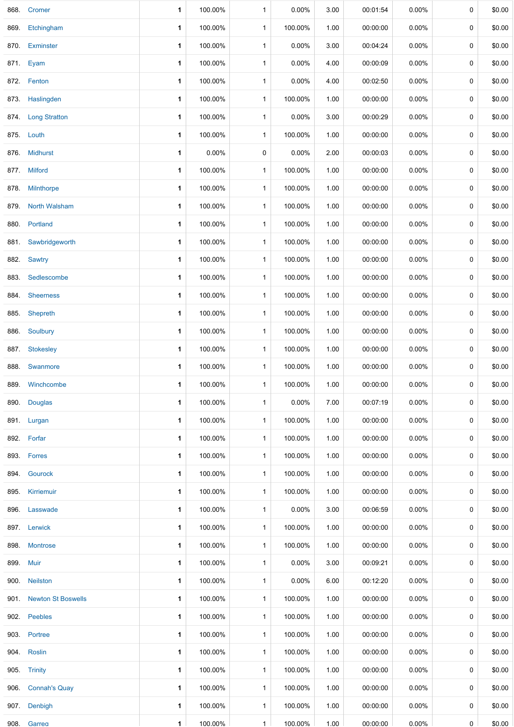|      | 868. Cromer             | 1            | 100.00% | $\mathbf{1}$ | 0.00%   | 3.00 | 00:01:54 | $0.00\%$ | 0 | \$0.00 |
|------|-------------------------|--------------|---------|--------------|---------|------|----------|----------|---|--------|
|      | 869. Etchingham         | 1            | 100.00% | $\mathbf{1}$ | 100.00% | 1.00 | 00:00:00 | 0.00%    | 0 | \$0.00 |
| 870. | Exminster               | $\mathbf{1}$ | 100.00% | $\mathbf{1}$ | 0.00%   | 3.00 | 00:04:24 | 0.00%    | 0 | \$0.00 |
|      | 871. Eyam               | $\mathbf{1}$ | 100.00% | $\mathbf{1}$ | 0.00%   | 4.00 | 00:00:09 | 0.00%    | 0 | \$0.00 |
|      | 872. Fenton             | 1            | 100.00% | $\mathbf{1}$ | 0.00%   | 4.00 | 00:02:50 | 0.00%    | 0 | \$0.00 |
|      | 873. Haslingden         | 1            | 100.00% | $\mathbf{1}$ | 100.00% | 1.00 | 00:00:00 | $0.00\%$ | 0 | \$0.00 |
|      | 874. Long Stratton      | 1            | 100.00% | 1            | 0.00%   | 3.00 | 00:00:29 | $0.00\%$ | 0 | \$0.00 |
|      | 875. Louth              | $\mathbf{1}$ | 100.00% | $\mathbf{1}$ | 100.00% | 1.00 | 00:00:00 | $0.00\%$ | 0 | \$0.00 |
|      | 876. Midhurst           | 1            | 0.00%   | 0            | 0.00%   | 2.00 | 00:00:03 | $0.00\%$ | 0 | \$0.00 |
|      | 877. Milford            | 1            | 100.00% | $\mathbf{1}$ | 100.00% | 1.00 | 00:00:00 | $0.00\%$ | 0 | \$0.00 |
|      | 878. Milnthorpe         | 1            | 100.00% | $\mathbf{1}$ | 100.00% | 1.00 | 00:00:00 | $0.00\%$ | 0 | \$0.00 |
|      | 879. North Walsham      | 1            | 100.00% | $\mathbf{1}$ | 100.00% | 1.00 | 00:00:00 | 0.00%    | 0 | \$0.00 |
|      | 880. Portland           | $\mathbf{1}$ | 100.00% | $\mathbf{1}$ | 100.00% | 1.00 | 00:00:00 | $0.00\%$ | 0 | \$0.00 |
| 881. | Sawbridgeworth          | 1            | 100.00% | $\mathbf{1}$ | 100.00% | 1.00 | 00:00:00 | 0.00%    | 0 | \$0.00 |
|      | 882. Sawtry             | 1            | 100.00% | $\mathbf{1}$ | 100.00% | 1.00 | 00:00:00 | 0.00%    | 0 | \$0.00 |
|      | 883. Sedlescombe        | 1            | 100.00% | 1            | 100.00% | 1.00 | 00:00:00 | 0.00%    | 0 | \$0.00 |
|      | 884. Sheerness          | $\mathbf{1}$ | 100.00% | $\mathbf{1}$ | 100.00% | 1.00 | 00:00:00 | 0.00%    | 0 | \$0.00 |
|      | 885. Shepreth           | 1            | 100.00% | $\mathbf{1}$ | 100.00% | 1.00 | 00:00:00 | 0.00%    | 0 | \$0.00 |
|      | 886. Soulbury           | 1            | 100.00% | $\mathbf{1}$ | 100.00% | 1.00 | 00:00:00 | 0.00%    | 0 | \$0.00 |
|      | 887. Stokesley          | 1            | 100.00% | $\mathbf{1}$ | 100.00% | 1.00 | 00:00:00 | 0.00%    | 0 | \$0.00 |
| 888. | Swanmore                | 1            | 100.00% | $\mathbf{1}$ | 100.00% | 1.00 | 00:00:00 | 0.00%    | 0 | \$0.00 |
|      | 889 Winchcombe          | 1            | 100.00% | $\mathbf{1}$ | 100.00% | 1.00 | 00:00:00 | $0.00\%$ | 0 | \$0.00 |
| 890. | <b>Douglas</b>          | 1            | 100.00% | $\mathbf{1}$ | 0.00%   | 7.00 | 00:07:19 | 0.00%    | 0 | \$0.00 |
|      | 891. Lurgan             | 1            | 100.00% | $\mathbf{1}$ | 100.00% | 1.00 | 00:00:00 | 0.00%    | 0 | \$0.00 |
|      | 892. Forfar             | 1            | 100.00% | 1            | 100.00% | 1.00 | 00:00:00 | 0.00%    | 0 | \$0.00 |
|      | 893. Forres             | $\mathbf{1}$ | 100.00% | $\mathbf{1}$ | 100.00% | 1.00 | 00:00:00 | 0.00%    | 0 | \$0.00 |
|      | 894. Gourock            | 1            | 100.00% | $\mathbf{1}$ | 100.00% | 1.00 | 00:00:00 | 0.00%    | 0 | \$0.00 |
|      | 895. Kirriemuir         | 1            | 100.00% | $\mathbf{1}$ | 100.00% | 1.00 | 00:00:00 | 0.00%    | 0 | \$0.00 |
|      | 896. Lasswade           | 1            | 100.00% | $\mathbf{1}$ | 0.00%   | 3.00 | 00:06:59 | 0.00%    | 0 | \$0.00 |
|      | 897. Lerwick            | 1            | 100.00% | $\mathbf{1}$ | 100.00% | 1.00 | 00:00:00 | 0.00%    | 0 | \$0.00 |
|      | 898. Montrose           | $\mathbf{1}$ | 100.00% | $\mathbf{1}$ | 100.00% | 1.00 | 00:00:00 | 0.00%    | 0 | \$0.00 |
|      | 899. Muir               | 1            | 100.00% | $\mathbf{1}$ | 0.00%   | 3.00 | 00:09:21 | 0.00%    | 0 | \$0.00 |
|      | 900. Neilston           | 1            | 100.00% | $\mathbf{1}$ | 0.00%   | 6.00 | 00:12:20 | 0.00%    | 0 | \$0.00 |
|      | 901. Newton St Boswells | 1            | 100.00% | $\mathbf{1}$ | 100.00% | 1.00 | 00:00:00 | 0.00%    | 0 | \$0.00 |
|      | 902. Peebles            | $\mathbf{1}$ | 100.00% | $\mathbf{1}$ | 100.00% | 1.00 | 00:00:00 | 0.00%    | 0 | \$0.00 |
|      | 903. Portree            | 1            | 100.00% | $\mathbf{1}$ | 100.00% | 1.00 | 00:00:00 | 0.00%    | 0 | \$0.00 |
|      | 904. Roslin             | 1            | 100.00% | $\mathbf{1}$ | 100.00% | 1.00 | 00:00:00 | 0.00%    | 0 | \$0.00 |
|      | 905. Trinity            | 1            | 100.00% | $\mathbf{1}$ | 100.00% | 1.00 | 00:00:00 | 0.00%    | 0 | \$0.00 |
|      | 906. Connah's Quay      | 1            | 100.00% | $\mathbf{1}$ | 100.00% | 1.00 | 00:00:00 | 0.00%    | 0 | \$0.00 |
|      | 907. Denbigh            | $\mathbf{1}$ | 100.00% | $\mathbf{1}$ | 100.00% | 1.00 | 00:00:00 | $0.00\%$ | 0 | \$0.00 |
| 908. | Garreg                  | $\mathbf{1}$ | 100.00% | $\mathbf{1}$ | 100.00% | 1.00 | 00:00:00 | $0.00\%$ | 0 | \$0.00 |